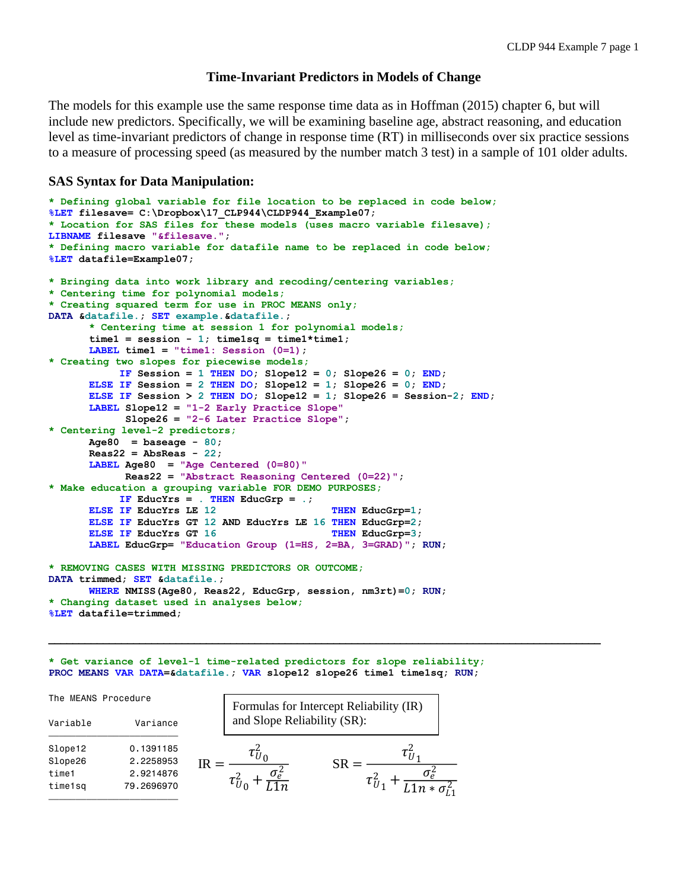# **Time-Invariant Predictors in Models of Change**

The models for this example use the same response time data as in Hoffman (2015) chapter 6, but will include new predictors. Specifically, we will be examining baseline age, abstract reasoning, and education level as time-invariant predictors of change in response time (RT) in milliseconds over six practice sessions to a measure of processing speed (as measured by the number match 3 test) in a sample of 101 older adults.

## **SAS Syntax for Data Manipulation:**

```
* Defining global variable for file location to be replaced in code below;
%LET filesave= C:\Dropbox\17_CLP944\CLDP944_Example07;
* Location for SAS files for these models (uses macro variable filesave);
LIBNAME filesave "&filesave.";
* Defining macro variable for datafile name to be replaced in code below;
%LET datafile=Example07;
* Bringing data into work library and recoding/centering variables;
* Centering time for polynomial models;
* Creating squared term for use in PROC MEANS only;
DATA &datafile.; SET example.&datafile.; 
      * Centering time at session 1 for polynomial models;
      time1 = session - 1; time1sq = time1*time1;
      LABEL time1 = "time1: Session (0=1);
* Creating two slopes for piecewise models;
            IF Session = 1 THEN DO; Slope12 = 0; Slope26 = 0; END;
      ELSE IF Session = 2 THEN DO; Slope12 = 1; Slope26 = 0; END;
      ELSE IF Session > 2 THEN DO; Slope12 = 1; Slope26 = Session-2; END;
      LABEL Slope12 = "1-2 Early Practice Slope"
             Slope26 = "2-6 Later Practice Slope";
* Centering level-2 predictors;
      Age80 = baseage - 80; 
      Reas22 = AbsReas - 22;
      LABEL Age80 = "Age Centered (0=80)"
             Reas22 = "Abstract Reasoning Centered (0=22)"; 
* Make education a grouping variable FOR DEMO PURPOSES;
           IF EducYrs = . THEN EducGrp = .;
      ELSE IF EducYrs LE 12 THEN EducGrp=1;
      ELSE IF EducYrs GT 12 AND EducYrs LE 16 THEN EducGrp=2;
      ELSE IF EducYrs GT 16 THEN EducGrp=3;
      LABEL EducGrp= "Education Group (1=HS, 2=BA, 3=GRAD)"; RUN;
* REMOVING CASES WITH MISSING PREDICTORS OR OUTCOME;
DATA trimmed; SET &datafile.;
      WHERE NMISS(Age80, Reas22, EducGrp, session, nm3rt)=0; RUN;
* Changing dataset used in analyses below;
%LET datafile=trimmed;
```
**\* Get variance of level-1 time-related predictors for slope reliability; PROC MEANS VAR DATA=&datafile.; VAR slope12 slope26 time1 time1sq; RUN;**

 $\mathcal{L}_\mathcal{L} = \mathcal{L}_\mathcal{L}$ 

#### $IR = \frac{\tau_U^2}{2\pi r}$ 0  $\tau_U^2$  $_{0} + \frac{\sigma_{e}^{2}}{L11}$ L1n  $SR = \frac{\tau_U^2}{2}$ 1  $\tau_U^2$  $_1 + \frac{\sigma_e^2}{11n * }$  $L1n*\sigma_{L1}^2$ The MEANS Procedure Variable Variance  $\overline{\phantom{a}}$  , and the system of  $\overline{\phantom{a}}$  g  $\overline{\phantom{a}}$  , and  $\overline{\phantom{a}}$ Slope12 0.1391185 Slope26 2.2258953 time1 2.9214876 time1sq 79.2696970 ƒƒƒƒƒƒƒƒƒƒƒƒƒƒƒƒƒƒƒƒƒƒƒƒ Formulas for Intercept Reliability (IR) and Slope Reliability (SR):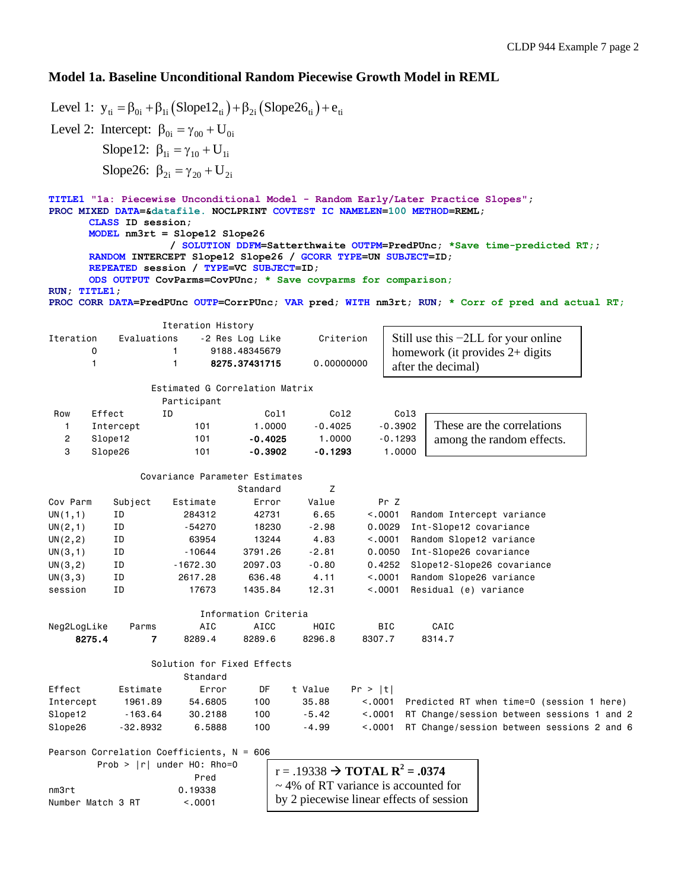# **Model 1a. Baseline Unconditional Random Piecewise Growth Model in REML**

Level 1:  $y_{ti} = \beta_{0i} + \beta_{1i} (Slope12_{ti}) + \beta_{2i} (Slope26_{ti}) + e_{ti}$ Level 2: Intercept:  $\beta_{0i} = \gamma_{00} + U_{0i}$ Slope12:  $\beta_{1i} = \gamma_{10} + U_{1i}$ Slope26:  $\beta_{2i} = \gamma_{20} + U_{2i}$ **TITLE1 "1a: Piecewise Unconditional Model - Random Early/Later Practice Slopes"; PROC MIXED DATA=&datafile. NOCLPRINT COVTEST IC NAMELEN=100 METHOD=REML; CLASS ID session; MODEL nm3rt = Slope12 Slope26 / SOLUTION DDFM=Satterthwaite OUTPM=PredPUnc; \*Save time-predicted RT;; RANDOM INTERCEPT Slope12 Slope26 / GCORR TYPE=UN SUBJECT=ID; REPEATED session / TYPE=VC SUBJECT=ID; ODS OUTPUT CovParms=CovPUnc; \* Save covparms for comparison; RUN; TITLE1; PROC CORR DATA=PredPUnc OUTP=CorrPUnc; VAR pred; WITH nm3rt; RUN; \* Corr of pred and actual RT;** Iteration History Iteration Evaluations -2 Res Log Like Criterion 0 1 9188.48345679 1 1 8275.37431715 0.00000000 Estimated G Correlation Matrix Participant Row Effect ID Col1 Col2 Col3 1 Intercept 101 1.0000 -0.4025 -0.3902 2 Slope12 101 -0.4025 1.0000 -0.1293 3 Slope26 101 -0.3902 -0.1293 1.0000 Covariance Parameter Estimates Standard 7 Cov Parm Subject Estimate Error Value Pr Z UN(1,1) ID 284312 42731 6.65 <.0001 Random Intercept variance UN(2,1) ID -54270 18230 -2.98 0.0029 Int-Slope12 covariance UN(2,2) ID 63954 13244 4.83 <.0001 Random Slope12 variance UN(3,1) ID -10644 3791.26 -2.81 0.0050 Int-Slope26 covariance UN(3,2) ID -1672.30 2097.03 -0.80 0.4252 Slope12-Slope26 covariance UN(3,3) ID 2617.28 636.48 4.11 <.0001 Random Slope26 variance session ID 17673 1435.84 12.31 <.0001 Residual (e) variance Information Criteria Neg2LogLike Parms AIC AICC HQIC BIC CAIC 8275.4 7 8289.4 8289.6 8296.8 8307.7 8314.7 Solution for Fixed Effects Standard Effect Estimate Error DF t Value Pr > |t| Intercept 1961.89 54.6805 100 35.88 <.0001 Predicted RT when time=0 (session 1 here) Slope12 -163.64 30.2188 100 -5.42 <.0001 RT Change/session between sessions 1 and 2 Slope26 -32.8932 6.5888 100 -4.99 <.0001 RT Change/session between sessions 2 and 6 Pearson Correlation Coefficients, N = 606 Prob > |r| under H0: Rho=0 **Prediction of the Contract of the Prediction of the Prediction of the Prediction of the Prediction of the Pred** nm3rt 0.19338 Number Match 3 RT <.0001  $r = .19338 \rightarrow \textbf{TOTAL} \ \mathbf{R}^2 = .0374$ ~ 4% of RT variance is accounted for by 2 piecewise linear effects of session Still use this −2LL for your online homework (it provides 2+ digits after the decimal) These are the correlations among the random effects.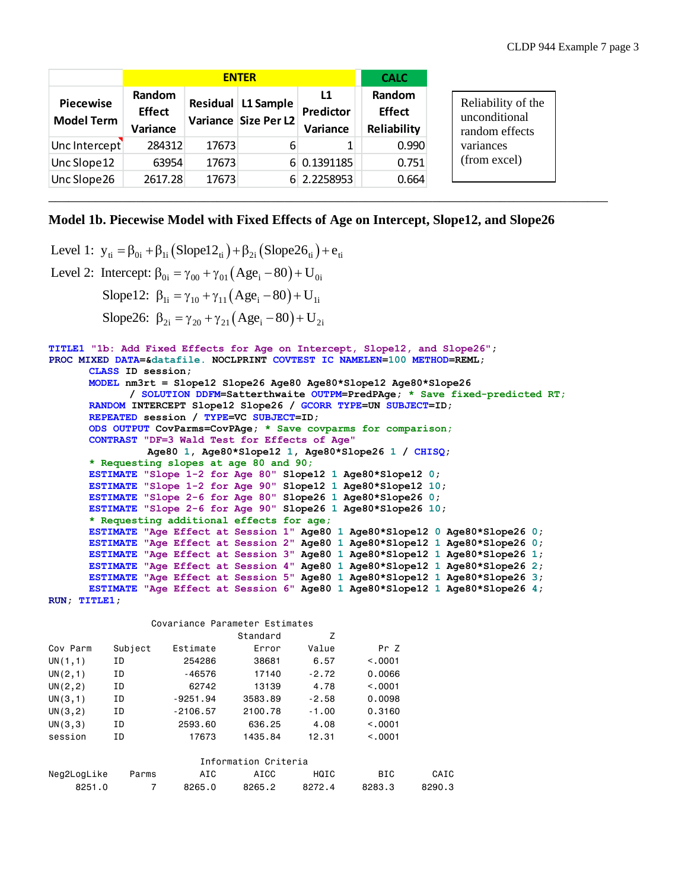|                                       |                                     | <b>CALC</b> |                                            |                             |                                        |
|---------------------------------------|-------------------------------------|-------------|--------------------------------------------|-----------------------------|----------------------------------------|
| <b>Piecewise</b><br><b>Model Term</b> | Random<br><b>Effect</b><br>Variance |             | Residual L1 Sample<br>Variance Size Per L2 | L1<br>Predictor<br>Variance | Random<br><b>Effect</b><br>Reliability |
| Unc Intercept                         | 284312                              | 17673       | 6                                          | 1                           | 0.990                                  |
| Unc Slope12                           | 63954                               | 17673       |                                            | 6 0.1391185                 | 0.751                                  |
| Unc Slope 26                          | 2617.28                             | 17673       |                                            | 6 2.2258953                 | 0.664                                  |

# **Model 1b. Piecewise Model with Fixed Effects of Age on Intercept, Slope12, and Slope26**

\_\_\_\_\_\_\_\_\_\_\_\_\_\_\_\_\_\_\_\_\_\_\_\_\_\_\_\_\_\_\_\_\_\_\_\_\_\_\_\_\_\_\_\_\_\_\_\_\_\_\_\_\_\_\_\_\_\_\_\_\_\_\_\_\_\_\_\_\_\_\_\_\_\_\_\_\_\_\_\_\_\_\_

```
Level 1: y_{ti} = \beta_{0i} + \beta_{1i} (Slope12_{ti}) + \beta_{2i} (Slope26_{ti}) + e_{ti}Level 2: Intercept: \beta_{0i} = \gamma_{00} + \gamma_{01} (Age_i - 80) + U_{0i}Slope12: \beta_{1i} = \gamma_{10} + \gamma_{11} (Age_i - 80) + U_{1i}Slope26: \beta_{2i} = \gamma_{20} + \gamma_{21} (Age_i - 80) + U_{2i}TITLE1 "1b: Add Fixed Effects for Age on Intercept, Slope12, and Slope26";
PROC MIXED DATA=&datafile. NOCLPRINT COVTEST IC NAMELEN=100 METHOD=REML;
       CLASS ID session;
       MODEL nm3rt = Slope12 Slope26 Age80 Age80*Slope12 Age80*Slope26 
              / SOLUTION DDFM=Satterthwaite OUTPM=PredPAge; * Save fixed-predicted RT;
       RANDOM INTERCEPT Slope12 Slope26 / GCORR TYPE=UN SUBJECT=ID; 
       REPEATED session / TYPE=VC SUBJECT=ID;
       ODS OUTPUT CovParms=CovPAge; * Save covparms for comparison;
       CONTRAST "DF=3 Wald Test for Effects of Age"
                  Age80 1, Age80*Slope12 1, Age80*Slope26 1 / CHISQ;
       * Requesting slopes at age 80 and 90;
       ESTIMATE "Slope 1-2 for Age 80" Slope12 1 Age80*Slope12 0;
       ESTIMATE "Slope 1-2 for Age 90" Slope12 1 Age80*Slope12 10;
       ESTIMATE "Slope 2-6 for Age 80" Slope26 1 Age80*Slope26 0;
       ESTIMATE "Slope 2-6 for Age 90" Slope26 1 Age80*Slope26 10;
       * Requesting additional effects for age;
       ESTIMATE "Age Effect at Session 1" Age80 1 Age80*Slope12 0 Age80*Slope26 0;
       ESTIMATE "Age Effect at Session 2" Age80 1 Age80*Slope12 1 Age80*Slope26 0;
       ESTIMATE "Age Effect at Session 3" Age80 1 Age80*Slope12 1 Age80*Slope26 1;
       ESTIMATE "Age Effect at Session 4" Age80 1 Age80*Slope12 1 Age80*Slope26 2;
       ESTIMATE "Age Effect at Session 5" Age80 1 Age80*Slope12 1 Age80*Slope26 3;
       ESTIMATE "Age Effect at Session 6" Age80 1 Age80*Slope12 1 Age80*Slope26 4; 
RUN; TITLE1;
```
Covariance Parameter Estimates

|                      |         |            | Standard | Z       |            |        |  |  |  |
|----------------------|---------|------------|----------|---------|------------|--------|--|--|--|
| Cov Parm             | Subject | Estimate   | Error    | Value   | Pr Z       |        |  |  |  |
| UN(1,1)              | ΙD      | 254286     | 38681    | 6.57    | < 0.001    |        |  |  |  |
| UN(2,1)              | ΙD      | -46576     | 17140    | $-2.72$ | 0.0066     |        |  |  |  |
| UN(2, 2)             | ΙD      | 62742      | 13139    | 4.78    | < 0.001    |        |  |  |  |
| UN(3,1)              | ΙD      | $-9251.94$ | 3583.89  | $-2.58$ | 0.0098     |        |  |  |  |
| UN(3, 2)             | ΙD      | $-2106.57$ | 2100.78  | $-1.00$ | 0.3160     |        |  |  |  |
| UN(3,3)              | ΙD      | 2593.60    | 636.25   | 4.08    | < 0.001    |        |  |  |  |
| session              | ΙD      | 17673      | 1435.84  | 12.31   | < 0.001    |        |  |  |  |
| Information Criteria |         |            |          |         |            |        |  |  |  |
| Neg2LogLike          | Parms   | AIC        | AICC     | HQIC    | <b>BIC</b> | CAIC   |  |  |  |
| 8251.0               | 7       | 8265.0     | 8265.2   | 8272.4  | 8283.3     | 8290.3 |  |  |  |

the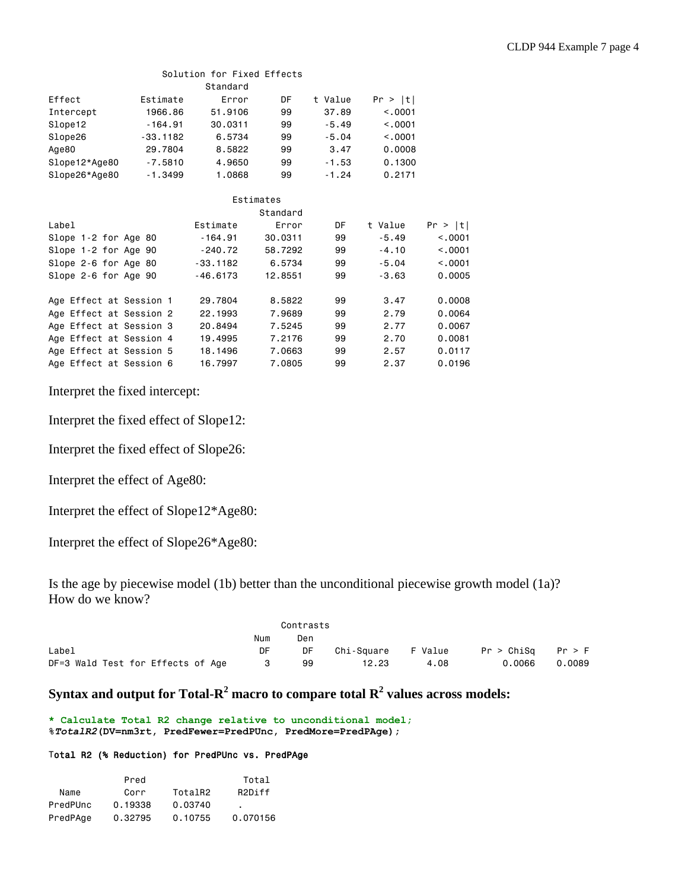# Solution for Fixed Effects

|                         |            | Standard   |           |         |         |         |
|-------------------------|------------|------------|-----------|---------|---------|---------|
| Effect                  | Estimate   | Error      | DF        | t Value | Pr >  t |         |
| Intercept               | 1966.86    | 51,9106    | 99        | 37.89   | < 0.001 |         |
| Slope12                 | $-164.91$  | 30.0311    | 99        | $-5.49$ | < .0001 |         |
| Slope26                 | $-33.1182$ | 6.5734     | 99        | $-5.04$ | < 0.001 |         |
| Age80                   | 29,7804    | 8.5822     | 99        | 3.47    | 0.0008  |         |
| Slope12*Age80           | $-7.5810$  | 4.9650     | 99        | $-1.53$ | 0.1300  |         |
| Slope26*Age80           | $-1.3499$  | 1.0868     | 99        | $-1.24$ | 0.2171  |         |
|                         |            |            | Estimates |         |         |         |
|                         |            |            | Standard  |         |         |         |
| Label                   |            | Estimate   | Error     | DF      | t Value | Pr >  t |
| Slope 1-2 for Age 80    |            | $-164.91$  | 30,0311   | 99      | $-5.49$ | < .0001 |
| Slope 1-2 for Age 90    |            | $-240.72$  | 58,7292   | 99      | $-4.10$ | < 0.001 |
| Slope 2-6 for Age 80    |            | $-33.1182$ | 6,5734    | 99      | $-5.04$ | < 0.001 |
| Slope 2-6 for Age 90    |            | $-46.6173$ | 12,8551   | 99      | $-3.63$ | 0.0005  |
| Age Effect at Session 1 |            | 29,7804    | 8,5822    | 99      | 3.47    | 0.0008  |
| Age Effect at Session 2 |            | 22,1993    | 7.9689    | 99      | 2.79    | 0.0064  |
| Age Effect at Session 3 |            | 20.8494    | 7.5245    | 99      | 2.77    | 0.0067  |
| Age Effect at Session 4 |            | 19,4995    | 7.2176    | 99      | 2.70    | 0.0081  |
| Age Effect at Session 5 |            | 18,1496    | 7.0663    | 99      | 2.57    | 0.0117  |
| Age Effect at Session 6 |            | 16.7997    | 7.0805    | 99      | 2.37    | 0.0196  |

Interpret the fixed intercept:

Interpret the fixed effect of Slope12:

Interpret the fixed effect of Slope26:

Interpret the effect of Age80:

Interpret the effect of Slope12\*Age80:

Interpret the effect of Slope26\*Age80:

Is the age by piecewise model (1b) better than the unconditional piecewise growth model (1a)? How do we know?

|                                   |     | Contrasts |            |         |            |        |
|-----------------------------------|-----|-----------|------------|---------|------------|--------|
|                                   | Num | Den       |            |         |            |        |
| Label                             | DF  | DF        | Chi-Square | F Value | Pr > ChiSa | Pr > F |
| DF=3 Wald Test for Effects of Age |     | 99        | 12.23      | 4.08    | 0.0066     | 0.0089 |

# $\mathbf{Syntax}$  and output for Total- $\mathbf{R}^2$  macro to compare total  $\mathbf{R}^2$  values across models:

**\* Calculate Total R2 change relative to unconditional model; %***TotalR2***(DV=nm3rt, PredFewer=PredPUnc, PredMore=PredPAge);**

### Total R2 (% Reduction) for PredPUnc vs. PredPAge

|          | Pred    |         | Total               |
|----------|---------|---------|---------------------|
| Name     | Corr    | TotalR2 | R <sub>2</sub> Diff |
| PredPUnc | 0.19338 | 0.03740 | ٠                   |
| PredPAge | 0.32795 | 0.10755 | 0.070156            |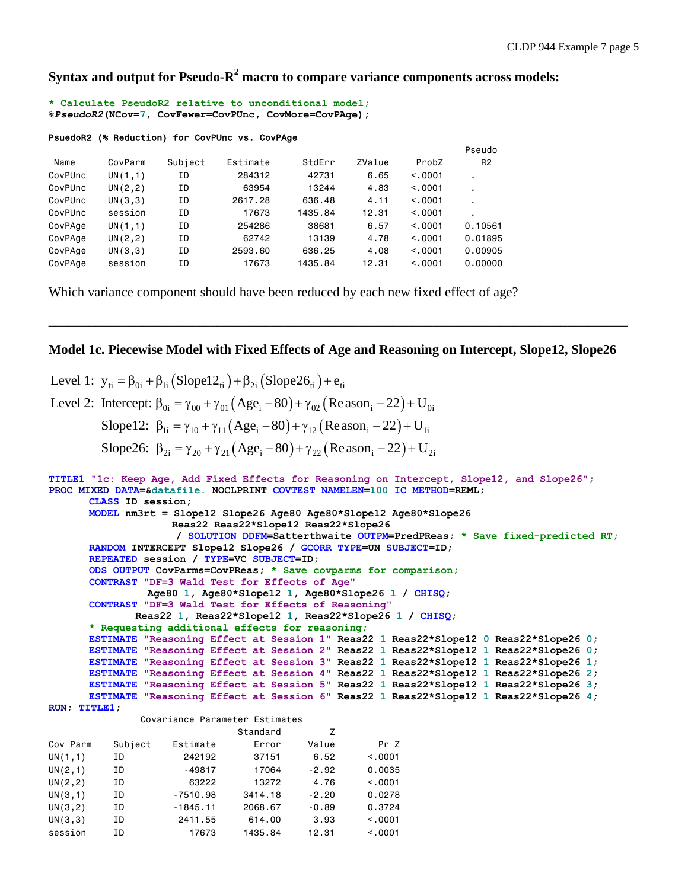**Syntax and output for Pseudo-R <sup>2</sup> macro to compare variance components across models:**

**\* Calculate PseudoR2 relative to unconditional model; %***PseudoR2***(NCov=7, CovFewer=CovPUnc, CovMore=CovPAge);**

### PsuedoR2 (% Reduction) for CovPUnc vs. CovPAge

|         |          |         |          |         |        |          | Pseudo         |
|---------|----------|---------|----------|---------|--------|----------|----------------|
| Name    | CovParm  | Subject | Estimate | StdErr  | ZValue | ProbZ    | R <sub>2</sub> |
| CovPUnc | UN(1,1)  | ΙD      | 284312   | 42731   | 6.65   | < 0.001  | ٠              |
| CovPUnc | UN(2, 2) | ΙD      | 63954    | 13244   | 4.83   | < 0.0001 | ٠              |
| CovPUnc | UN(3,3)  | ΙD      | 2617,28  | 636.48  | 4.11   | < 0.0001 | ٠              |
| CovPUnc | session  | ΙD      | 17673    | 1435.84 | 12.31  | < 0.0001 | ٠              |
| CovPAge | UN(1,1)  | ΙD      | 254286   | 38681   | 6.57   | < 0.001  | 0.10561        |
| CovPAge | UN(2, 2) | ΙD      | 62742    | 13139   | 4.78   | < 0.0001 | 0.01895        |
| CovPAge | UN(3,3)  | ΙD      | 2593.60  | 636,25  | 4.08   | < 0.0001 | 0.00905        |
| CovPAge | session  | ΙD      | 17673    | 1435.84 | 12.31  | < 0.0001 | 0.00000        |

Which variance component should have been reduced by each new fixed effect of age?

### **Model 1c. Piecewise Model with Fixed Effects of Age and Reasoning on Intercept, Slope12, Slope26**

\_\_\_\_\_\_\_\_\_\_\_\_\_\_\_\_\_\_\_\_\_\_\_\_\_\_\_\_\_\_\_\_\_\_\_\_\_\_\_\_\_\_\_\_\_\_\_\_\_\_\_\_\_\_\_\_\_\_\_\_\_\_\_\_\_\_\_\_\_\_\_\_\_\_\_\_\_\_\_\_\_\_\_\_\_\_

Level 1:  $y_{ti} = \beta_{0i} + \beta_{1i} (Slope22_{ti}) + \beta_{2i} (Slope26_{ti}) + e_{ti}$ Level 2: Intercept:  $\beta_{0i} = \gamma_{00} + \gamma_{01} (Age_i - 80) + \gamma_{02} (Reason_i - 22) + U_{0i}$ Slope12:  $\beta_{1i} = \gamma_{10} + \gamma_{11} (Age_i - 80) + \gamma_{12} (Reason_i - 22) + U_{1i}$ Slope26:  $\beta_{2i} = \gamma_{20} + \gamma_{21} (Age_i - 80) + \gamma_{22} (Reason_i - 22) + U_{2i}$ **TITLE1 "1c: Keep Age, Add Fixed Effects for Reasoning on Intercept, Slope12, and Slope26"; PROC MIXED DATA=&datafile. NOCLPRINT COVTEST NAMELEN=100 IC METHOD=REML; CLASS ID session; MODEL nm3rt = Slope12 Slope26 Age80 Age80\*Slope12 Age80\*Slope26 Reas22 Reas22\*Slope12 Reas22\*Slope26 / SOLUTION DDFM=Satterthwaite OUTPM=PredPReas; \* Save fixed-predicted RT; RANDOM INTERCEPT Slope12 Slope26 / GCORR TYPE=UN SUBJECT=ID; REPEATED session / TYPE=VC SUBJECT=ID; ODS OUTPUT CovParms=CovPReas; \* Save covparms for comparison; CONTRAST "DF=3 Wald Test for Effects of Age" Age80 1, Age80\*Slope12 1, Age80\*Slope26 1 / CHISQ; CONTRAST "DF=3 Wald Test for Effects of Reasoning" Reas22 1, Reas22\*Slope12 1, Reas22\*Slope26 1 / CHISQ; \* Requesting additional effects for reasoning; ESTIMATE "Reasoning Effect at Session 1" Reas22 1 Reas22\*Slope12 0 Reas22\*Slope26 0; ESTIMATE "Reasoning Effect at Session 2" Reas22 1 Reas22\*Slope12 1 Reas22\*Slope26 0; ESTIMATE "Reasoning Effect at Session 3" Reas22 1 Reas22\*Slope12 1 Reas22\*Slope26 1; ESTIMATE "Reasoning Effect at Session 4" Reas22 1 Reas22\*Slope12 1 Reas22\*Slope26 2; ESTIMATE "Reasoning Effect at Session 5" Reas22 1 Reas22\*Slope12 1 Reas22\*Slope26 3; ESTIMATE "Reasoning Effect at Session 6" Reas22 1 Reas22\*Slope12 1 Reas22\*Slope26 4; RUN; TITLE1;** Covariance Parameter Estimates

|          |         |            | Standard | Z       |          |
|----------|---------|------------|----------|---------|----------|
| Cov Parm | Subject | Estimate   | Error    | Value   | Pr Z     |
| UN(1,1)  | ΙD      | 242192     | 37151    | 6.52    | < 0.0001 |
| UN(2,1)  | ΙD      | $-49817$   | 17064    | $-2.92$ | 0.0035   |
| UN(2, 2) | ΙD      | 63222      | 13272    | 4.76    | < 0.0001 |
| UN(3,1)  | ΙD      | $-7510.98$ | 3414.18  | $-2.20$ | 0.0278   |
| UN(3, 2) | ΙD      | $-1845.11$ | 2068.67  | $-0.89$ | 0.3724   |
| UN(3,3)  | ΙD      | 2411.55    | 614.00   | 3.93    | < 0.0001 |
| session  | ΙD      | 17673      | 1435.84  | 12.31   | < 0.0001 |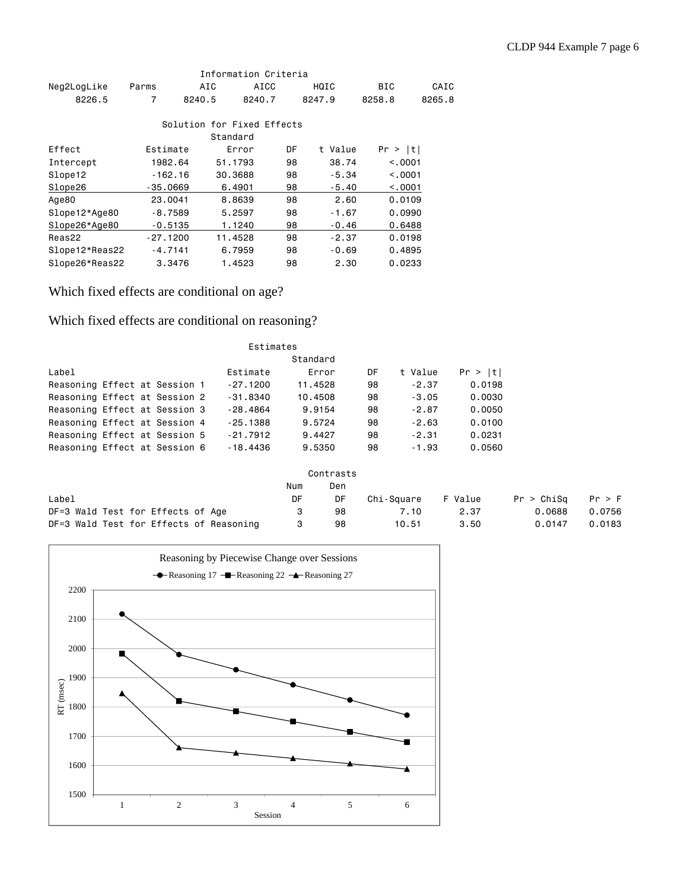|                |            |           |          | Information Criteria       |    |         |         |          |
|----------------|------------|-----------|----------|----------------------------|----|---------|---------|----------|
| Neg2LogLike    | Parms      |           | AIC      | AICC                       |    | HQIC    | BIC     | CAIC     |
| 8226.5         | 7          | 8240.5    |          | 8240.7                     |    | 8247.9  | 8258.8  | 8265.8   |
|                |            |           |          | Solution for Fixed Effects |    |         |         |          |
|                |            |           | Standard |                            |    |         |         |          |
| Effect         | Estimate   |           |          | Error                      | DF | t Value | Pr >  t |          |
| Intercept      | 1982.64    |           | 51.1793  |                            | 98 | 38.74   |         | < 0.001  |
| Slope12        |            | $-162.16$ | 30,3688  |                            | 98 | $-5.34$ |         | < 0.001  |
| Slope26        | $-35,0669$ |           | 6,4901   |                            | 98 | $-5.40$ |         | < 0.0001 |
| Age80          | 23,0041    |           | 8.8639   |                            | 98 | 2.60    |         | 0.0109   |
| Slope12*Age80  |            | $-8.7589$ | 5.2597   |                            | 98 | $-1.67$ |         | 0.0990   |
| Slope26*Age80  |            | $-0.5135$ |          | 1.1240                     | 98 | $-0.46$ |         | 0.6488   |
| Reas22         | $-27.1200$ |           | 11.4528  |                            | 98 | $-2.37$ |         | 0.0198   |
| Slope12*Reas22 | $-4.7141$  |           | 6.7959   |                            | 98 | $-0.69$ |         | 0.4895   |
| Slope26*Reas22 |            | 3,3476    |          | 1.4523                     | 98 | 2.30    |         | 0.0233   |

Which fixed effects are conditional on age?

Which fixed effects are conditional on reasoning?

|                               | Estimates |  |  |  |            |         |    |         |         |
|-------------------------------|-----------|--|--|--|------------|---------|----|---------|---------|
| Standard                      |           |  |  |  |            |         |    |         |         |
| Label                         |           |  |  |  | Estimate   | Error   | DF | t Value | Pr >  t |
| Reasoning Effect at Session 1 |           |  |  |  | $-27.1200$ | 11,4528 | 98 | $-2.37$ | 0.0198  |
| Reasoning Effect at Session 2 |           |  |  |  | $-31.8340$ | 10,4508 | 98 | $-3.05$ | 0.0030  |
| Reasoning Effect at Session 3 |           |  |  |  | $-28.4864$ | 9.9154  | 98 | $-2.87$ | 0.0050  |
| Reasoning Effect at Session 4 |           |  |  |  | $-25.1388$ | 9.5724  | 98 | $-2.63$ | 0.0100  |
| Reasoning Effect at Session 5 |           |  |  |  | $-21.7912$ | 9.4427  | 98 | $-2.31$ | 0.0231  |
| Reasoning Effect at Session 6 |           |  |  |  | $-18.4436$ | 9,5350  | 98 | $-1.93$ | 0,0560  |

|                                         |     | Contrasts |            |         |            |        |
|-----------------------------------------|-----|-----------|------------|---------|------------|--------|
|                                         | Num | Den       |            |         |            |        |
| Label                                   | DF  | DF        | Chi-Sauare | F Value | Pr > ChiSa | Pr > F |
| DF=3 Wald Test for Effects of Age       |     | 98        | 7.10       | 2.37    | 0.0688     | 0.0756 |
| DF=3 Wald Test for Effects of Reasoning |     | 98        | 10.51      | 3.50    | 0.0147     | 0.0183 |

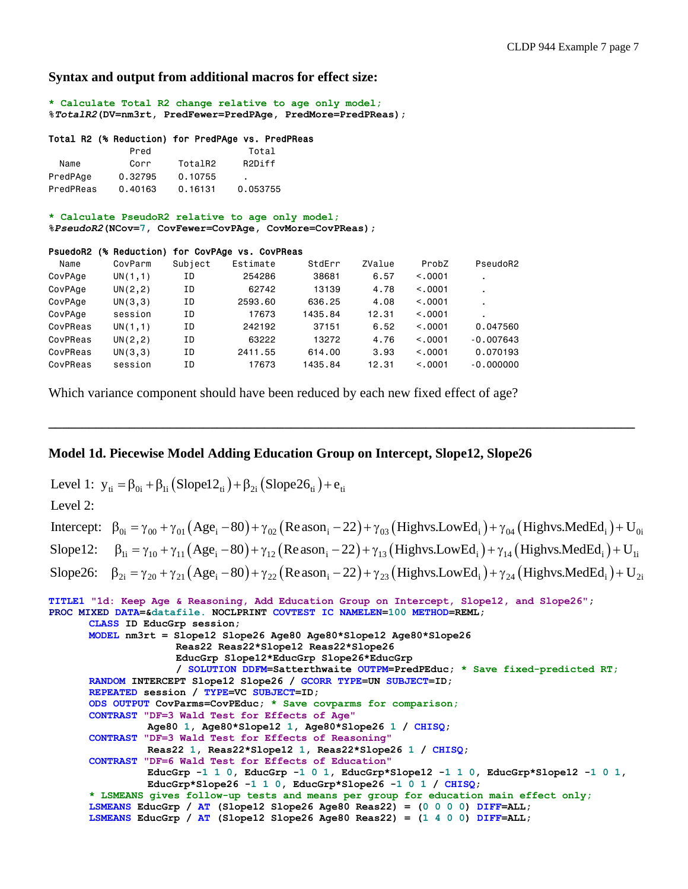### **Syntax and output from additional macros for effect size:**

**\* Calculate Total R2 change relative to age only model; %***TotalR2***(DV=nm3rt, PredFewer=PredPAge, PredMore=PredPReas);**

#### Total R2 (% Reduction) for PredPAge vs. PredPReas

|           | Pred    |         | Total               |
|-----------|---------|---------|---------------------|
| Name      | Corr    | TotalR2 | R <sub>2</sub> Diff |
| PredPAge  | 0.32795 | 0.10755 | $\blacksquare$      |
| PredPReas | 0.40163 | 0.16131 | 0.053755            |

#### **\* Calculate PseudoR2 relative to age only model;**

**%***PseudoR2***(NCov=7, CovFewer=CovPAge, CovMore=CovPReas);**

#### PsuedoR2 (% Reduction) for CovPAge vs. CovPReas

| Name     | CovParm  | Subject | Estimate | StdErr  | ZValue | ProbZ   | PseudoR2    |
|----------|----------|---------|----------|---------|--------|---------|-------------|
| CovPAge  | UN(1,1)  | ΙD      | 254286   | 38681   | 6.57   | < 0.001 |             |
| CovPAge  | UN(2, 2) | ΙD      | 62742    | 13139   | 4.78   | < 0.001 |             |
| CovPAge  | UN(3,3)  | ΙD      | 2593.60  | 636.25  | 4.08   | < 0.001 |             |
| CovPAge  | session  | ΙD      | 17673    | 1435.84 | 12.31  | < 0.001 |             |
| CovPReas | UN(1,1)  | ΙD      | 242192   | 37151   | 6.52   | < 0.001 | 0.047560    |
| CovPReas | UN(2, 2) | ΙD      | 63222    | 13272   | 4.76   | < 0.001 | $-0.007643$ |
| CovPReas | UN(3,3)  | ΙD      | 2411.55  | 614.00  | 3.93   | < 0.001 | 0.070193    |
| CovPReas | session  | ΙD      | 17673    | 1435.84 | 12.31  | < 0.001 | $-0.000000$ |

Which variance component should have been reduced by each new fixed effect of age?

# **Model 1d. Piecewise Model Adding Education Group on Intercept, Slope12, Slope26**

Level 1:  $y_{ti} = \beta_{0i} + \beta_{1i} (Slope22_{ti}) + \beta_{2i} (Slope26_{ti}) + e_{ti}$ 

Level 2:

| Intercept: $\beta_{0i} = \gamma_{00} + \gamma_{01} (Age_i - 80) + \gamma_{02} (Reason_i - 22) + \gamma_{03} (Highvs. LowEd_i) + \gamma_{04} (Highvs. MedEd_i) + U_{0i}$ |
|-------------------------------------------------------------------------------------------------------------------------------------------------------------------------|
| Slope12: $\beta_{1i} = \gamma_{10} + \gamma_{11} (Age_i - 80) + \gamma_{12} (Reason_i - 22) + \gamma_{13} (Highvs.LowEd_i) + \gamma_{14} (Highvs.MedEd_i) + U_{1i}$     |
| Slope26: $\beta_{2i} = \gamma_{20} + \gamma_{21} (Age_i - 80) + \gamma_{22} (Reason_i - 22) + \gamma_{23} (Highvs. LowEd_i) + \gamma_{24} (Highvs. MedEd_i) + U_{2i}$   |

**\_\_\_\_\_\_\_\_\_\_\_\_\_\_\_\_\_\_\_\_\_\_\_\_\_\_\_\_\_\_\_\_\_\_\_\_\_\_\_\_\_\_\_\_\_\_\_\_\_\_\_\_\_\_\_\_\_\_\_\_\_\_\_\_\_\_\_\_\_\_\_\_\_\_\_\_\_\_\_\_\_\_\_\_\_\_\_**

```
TITLE1 "1d: Keep Age & Reasoning, Add Education Group on Intercept, Slope12, and Slope26";
PROC MIXED DATA=&datafile. NOCLPRINT COVTEST IC NAMELEN=100 METHOD=REML;
      CLASS ID EducGrp session;
      MODEL nm3rt = Slope12 Slope26 Age80 Age80*Slope12 Age80*Slope26 
                     Reas22 Reas22*Slope12 Reas22*Slope26 
                     EducGrp Slope12*EducGrp Slope26*EducGrp 
                     / SOLUTION DDFM=Satterthwaite OUTPM=PredPEduc; * Save fixed-predicted RT;
      RANDOM INTERCEPT Slope12 Slope26 / GCORR TYPE=UN SUBJECT=ID; 
      REPEATED session / TYPE=VC SUBJECT=ID;
      ODS OUTPUT CovParms=CovPEduc; * Save covparms for comparison;
      CONTRAST "DF=3 Wald Test for Effects of Age"
                 Age80 1, Age80*Slope12 1, Age80*Slope26 1 / CHISQ;
      CONTRAST "DF=3 Wald Test for Effects of Reasoning"
                 Reas22 1, Reas22*Slope12 1, Reas22*Slope26 1 / CHISQ;
      CONTRAST "DF=6 Wald Test for Effects of Education"
                 EducGrp -1 1 0, EducGrp -1 0 1, EducGrp*Slope12 -1 1 0, EducGrp*Slope12 -1 0 1, 
                 EducGrp*Slope26 -1 1 0, EducGrp*Slope26 -1 0 1 / CHISQ;
      * LSMEANS gives follow-up tests and means per group for education main effect only;
      LSMEANS EducGrp / AT (Slope12 Slope26 Age80 Reas22) = (0 0 0 0) DIFF=ALL; 
      LSMEANS EducGrp / AT (Slope12 Slope26 Age80 Reas22) = (1 4 0 0) DIFF=ALL;
```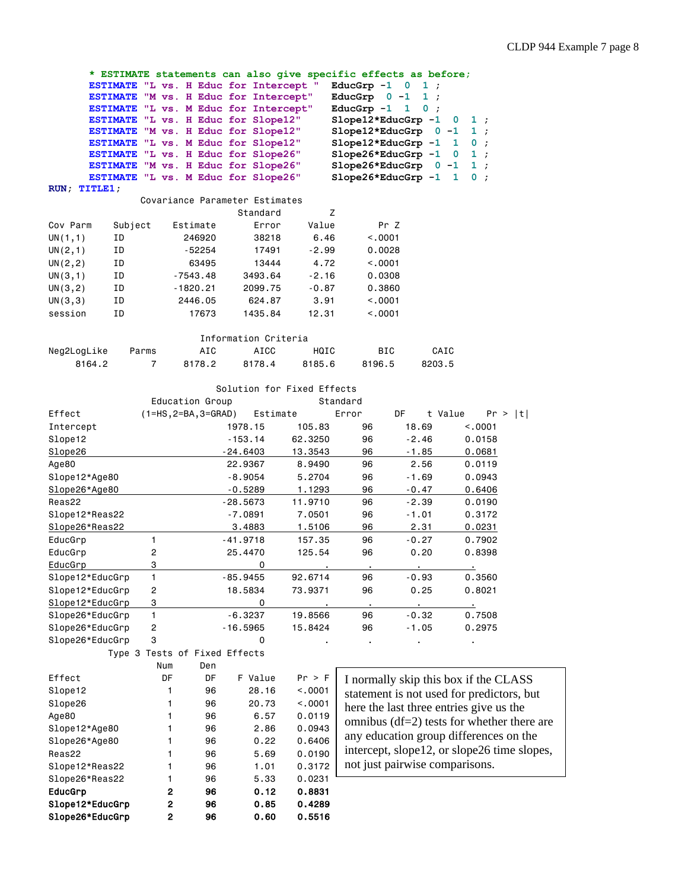**\* ESTIMATE statements can also give specific effects as before; ESTIMATE "L vs. H Educ for Intercept " EducGrp -1 0 1 ; ESTIMATE "M vs. H Educ for Intercept" EducGrp 0 -1 1 ; ESTIMATE** "L vs. M Educ for Intercept" **ESTIMATE "L vs. H Educ for Slope12" Slope12\*EducGrp -1 0 1 ; ESTIMATE "M vs. H Educ for Slope12" Slope12\*EducGrp 0 -1 1 ; ESTIMATE "L vs. M Educ for Slope12" Slope12\*EducGrp -1 1 0 ; ESTIMATE "L vs. H Educ for Slope26" Slope26\*EducGrp -1 0 1 ; ESTIMATE "M vs. H Educ for Slope26" Slope26\*EducGrp 0 -1 1 ; ESTIMATE "L vs. M Educ for Slope26" Slope26\*EducGrp -1 1 0 ; RUN; TITLE1;** Covariance Parameter Estimates Standard Z Cov Parm Subject Estimate Error Value Pr Z UN(1,1) ID 246920 38218 6.46 <.0001 UN(2,1) ID -52254 17491 -2.99 0.0028 UN(2,2) ID 63495 13444 4.72 <.0001 UN(3,1) ID -7543.48 3493.64 -2.16 0.0308 UN(3,2) ID -1820.21 2099.75 -0.87 0.3860 UN(3,3) ID 2446.05 624.87 3.91 <.0001 session ID 17673 1435.84 12.31 <.0001 Information Criteria Neg2LogLike Parms AIC AICC HQIC BIC CAIC 8164.2 7 8178.2 8178.4 8185.6 8196.5 8203.5 Solution for Fixed Effects Education Group **Standard** Effect (1=HS,2=BA,3=GRAD) Estimate Error DF t Value Pr > |t| Intercept 1978.15 105.83 96 18.69 <.0001 Slope12 -153.14 62.3250 96 -2.46 0.0158 Slope26 -24.6403 13.3543 96 -1.85 0.0681 Age80 22.9367 8.9490 96 2.56 0.0119 Slope12\*Age80 -8.9054 5.2704 96 -1.69 0.0943 Slope26\*Age80 -0.5289 1.1293 96 -0.47 0.6406 Reas22 -28.5673 11.9710 96 -2.39 0.0190 Slope12\*Reas22 - 7.0891 7.0501 96 -1.01 0.3172 Slope26\*Reas22 3.4883 1.5106 96 2.31 0.0231 EducGrp 1 -41.9718 157.35 96 -0.27 0.7902 EducGrp 2 25.4470 125.54 96 0.20 0.8398 EducGrp 3 0 . . . . Slope12\*EducGrp 1 -85.9455 92.6714 96 -0.93 0.3560 Slope12\*EducGrp 2 18.5834 73.9371 96 0.25 0.8021 Slope12\*EducGrp 3 . . . . . . . . . . 0 Slope26\*EducGrp 1 -6.3237 19.8566 96 -0.32 0.7508 Slope26\*EducGrp 2 -16.5965 15.8424 96 -1.05 0.2975 Slope26\*EducGrp 3 0 . . . . Type 3 Tests of Fixed Effects Num Den Effect DF DF F Value Pr > F Slope12 1 96 28.16 <.0001 Slope26 1 96 20.73 <.0001 Age80 1 96 6.57 0.0119 Slope12\*Age80 1 96 2.86 0.0943 Slope26\*Age80 1 96 0.22 0.6406 Reas22 1 96 5.69 0.0190 Slope12\*Reas22 1 96 1.01 0.3172 Slope26\*Reas22 1 96 5.33 0.0231 EducGrp 2 96 0.12 0.8831 I normally skip this box if the CLASS statement is not used for predictors, but here the last three entries give us the omnibus (df=2) tests for whether there are any education group differences on the intercept, slope12, or slope26 time slopes, not just pairwise comparisons.

Slope12\*EducGrp 2 96 0.85 0.4289 Slope26\*EducGrp 2 96 0.60 0.5516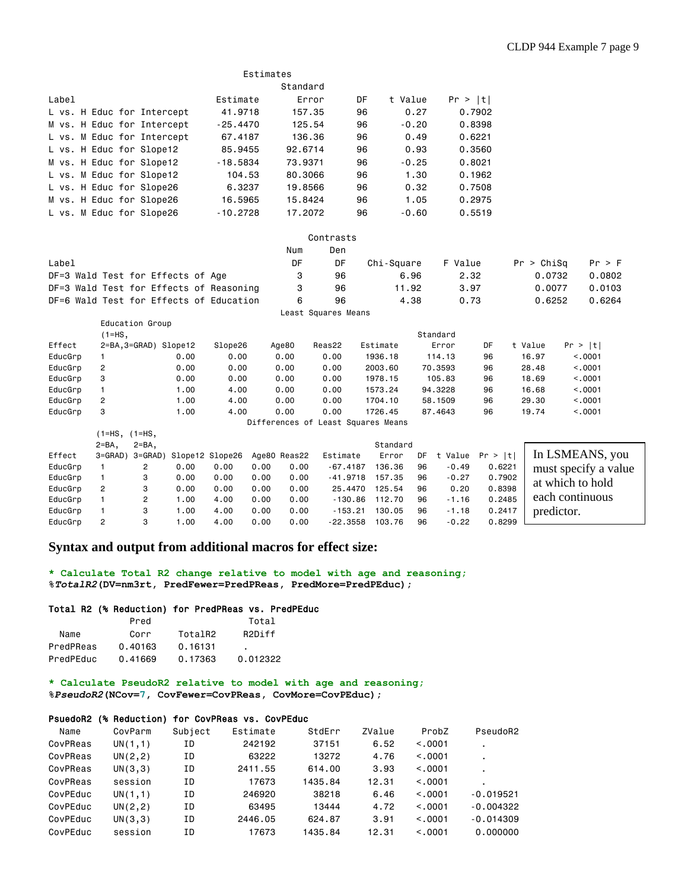|                            | Estimates  |         |    |         |         |  |  |  |  |  |  |
|----------------------------|------------|---------|----|---------|---------|--|--|--|--|--|--|
|                            | Standard   |         |    |         |         |  |  |  |  |  |  |
| Label                      | Estimate   | Error   | DF | t Value | Pr >  t |  |  |  |  |  |  |
| L vs. H Educ for Intercept | 41,9718    | 157.35  | 96 | 0.27    | 0.7902  |  |  |  |  |  |  |
| M vs. H Educ for Intercept | $-25.4470$ | 125.54  | 96 | $-0.20$ | 0.8398  |  |  |  |  |  |  |
| L vs. M Educ for Intercept | 67.4187    | 136.36  | 96 | 0.49    | 0.6221  |  |  |  |  |  |  |
| L vs. H Educ for Slope12   | 85,9455    | 92.6714 | 96 | 0.93    | 0.3560  |  |  |  |  |  |  |
| M vs. H Educ for Slope12   | $-18.5834$ | 73,9371 | 96 | $-0.25$ | 0.8021  |  |  |  |  |  |  |
| L vs. M Educ for Slope12   | 104.53     | 80.3066 | 96 | 1.30    | 0.1962  |  |  |  |  |  |  |
| L vs. H Educ for Slope26   | 6.3237     | 19.8566 | 96 | 0.32    | 0.7508  |  |  |  |  |  |  |
| M vs. H Educ for Slope26   | 16,5965    | 15.8424 | 96 | 1.05    | 0.2975  |  |  |  |  |  |  |
| L vs. M Educ for Slope26   | $-10.2728$ | 17.2072 | 96 | $-0.60$ | 0.5519  |  |  |  |  |  |  |

|         |                                         |      |         |       | Contrasts           |            |          |         |            |         |
|---------|-----------------------------------------|------|---------|-------|---------------------|------------|----------|---------|------------|---------|
|         |                                         |      |         | Num   | Den                 |            |          |         |            |         |
| Label   |                                         |      |         | DF    | DF                  | Chi-Square |          | F Value | Pr > Chisq | Pr > F  |
|         | DF=3 Wald Test for Effects of Age       |      |         | 3     | 96                  |            | 6.96     | 2.32    | 0.0732     | 0.0802  |
|         | DF=3 Wald Test for Effects of Reasoning |      |         | 3     | 96                  |            | 11.92    | 3.97    | 0.0077     | 0.0103  |
|         | DF=6 Wald Test for Effects of Education |      |         | 6     | 96                  |            | 4.38     | 0.73    | 0.6252     | 0.6264  |
|         |                                         |      |         |       | Least Squares Means |            |          |         |            |         |
|         | Education Group                         |      |         |       |                     |            |          |         |            |         |
|         | $(1=HS,$                                |      |         |       |                     |            | Standard |         |            |         |
| Effect  | 2=BA,3=GRAD) Slope12                    |      | Slope26 | Age80 | Reas22              | Estimate   | Error    | DF      | t Value    | Pr >  t |
| EducGrp |                                         | 0.00 | 0.00    | 0.00  | 0.00                | 1936.18    | 114.13   | 96      | 16.97      | < 0.001 |

| EducGrp | 0.00 | 0.00 | 0.00 | 0.00 | 2003.60 | 70.3593 | 96 | 28.48 | < 0001 |
|---------|------|------|------|------|---------|---------|----|-------|--------|
| EducGrp | 0.00 | 0.00 | 0.00 | 0.00 | 1978.15 | 105.83  | 96 | 18.69 | < 0001 |
| EducGrp | .00  | 4.00 | 0.00 | 0.00 | 1573.24 | 94,3228 | 96 | 16.68 | <.0001 |
| EducGrp | .00  | 4.00 | 0.00 | 0.00 | 1704.10 | 58,1509 | 96 | 29,30 | < 0001 |
| EducGrp | .00  | 4.00 | 0.00 | 0.00 | 1726.45 | 87,4643 | 96 | 19.74 | .0001  |

Differences of Least Squares Means

|         |                |                |      |                         |      |              | DITTOI CHOCO OI LOGOC OGGGIOO MOGHO |          |    |         |                    |                      |
|---------|----------------|----------------|------|-------------------------|------|--------------|-------------------------------------|----------|----|---------|--------------------|----------------------|
|         | 1=HS, (1=HS,   |                |      |                         |      |              |                                     |          |    |         |                    |                      |
|         | $2 = BA$ .     | $2 = BA$ .     |      |                         |      |              |                                     | Standard |    |         |                    |                      |
| Effect  | 3=GRAD)        |                |      | 3=GRAD) Slope12 Slope26 |      | Age80 Reas22 | Estimate                            | Error    | DF |         | t Value $Pr >  t $ | In LSMEANS, you      |
| EducGrp |                | $\overline{2}$ | 0.00 | 0.00                    | 0.00 | 0.00         | $-67.4187$                          | 136.36   | 96 | $-0.49$ | 0.6221             | must specify a value |
| EducGrp |                | 3              | 0.00 | 0.00                    | 0.00 | 0.00         | $-41.9718$                          | 157.35   | 96 | $-0.27$ | 0.7902             | at which to hold     |
| EducGrp | $\overline{2}$ | 3              | 0.00 | 0.00                    | 0.00 | 0.00         | 25,4470                             | 125.54   | 96 | 0.20    | 0.8398             |                      |
| EducGrp |                | 2              | .00  | 4.00                    | 0.00 | 0.00         | $-130.86$                           | 112.70   | 96 | $-1.16$ | 0.2485             | each continuous      |
| EducGrp |                | 3              | .00  | 4.00                    | 0.00 | 0.00         | $-153.21$                           | 130.05   | 96 | $-1.18$ | 0.2417             | predictor.           |
| EducGrp | 2              | 3              | .00  | 4.00                    | 0.00 | 0.00         | $-22.3558$                          | 103.76   | 96 | $-0.22$ | 0.8299             |                      |

# **Syntax and output from additional macros for effect size:**

**\* Calculate Total R2 change relative to model with age and reasoning; %***TotalR2***(DV=nm3rt, PredFewer=PredPReas, PredMore=PredPEduc);**

### Total R2 (% Reduction) for PredPReas vs. PredPEduc

|           | Pred    |         | Total               |
|-----------|---------|---------|---------------------|
| Name      | Corr    | TotalR2 | R <sub>2</sub> Diff |
| PredPReas | 0.40163 | 0.16131 |                     |
| PredPEduc | 0.41669 | 0.17363 | 0.012322            |

**\* Calculate PseudoR2 relative to model with age and reasoning;**

**%***PseudoR2***(NCov=7, CovFewer=CovPReas, CovMore=CovPEduc);**

### PsuedoR2 (% Reduction) for CovPReas vs. CovPEduc

| Name     | CovParm  | Subject | Estimate | StdErr  | ZValue | ProbZ   | PseudoR2       |
|----------|----------|---------|----------|---------|--------|---------|----------------|
| CovPReas | UN(1,1)  | ΙD      | 242192   | 37151   | 6.52   | < 0.001 | ٠              |
| CovPReas | UN(2, 2) | ΙD      | 63222    | 13272   | 4.76   | < 0.001 | $\blacksquare$ |
| CovPReas | UN(3,3)  | ΙD      | 2411.55  | 614.00  | 3.93   | < 0.001 | ٠              |
| CovPReas | session  | ΙD      | 17673    | 1435.84 | 12.31  | < 0.001 | ٠              |
| CovPEduc | UN(1,1)  | ΙD      | 246920   | 38218   | 6.46   | < 0.001 | $-0.019521$    |
| CovPEduc | UN(2, 2) | ΙD      | 63495    | 13444   | 4.72   | < 0.001 | $-0.004322$    |
| CovPEduc | UN(3,3)  | ΙD      | 2446.05  | 624.87  | 3.91   | < 0.001 | $-0.014309$    |
| CovPEduc | session  | ΙD      | 17673    | 1435.84 | 12.31  | < 0.001 | 0.000000       |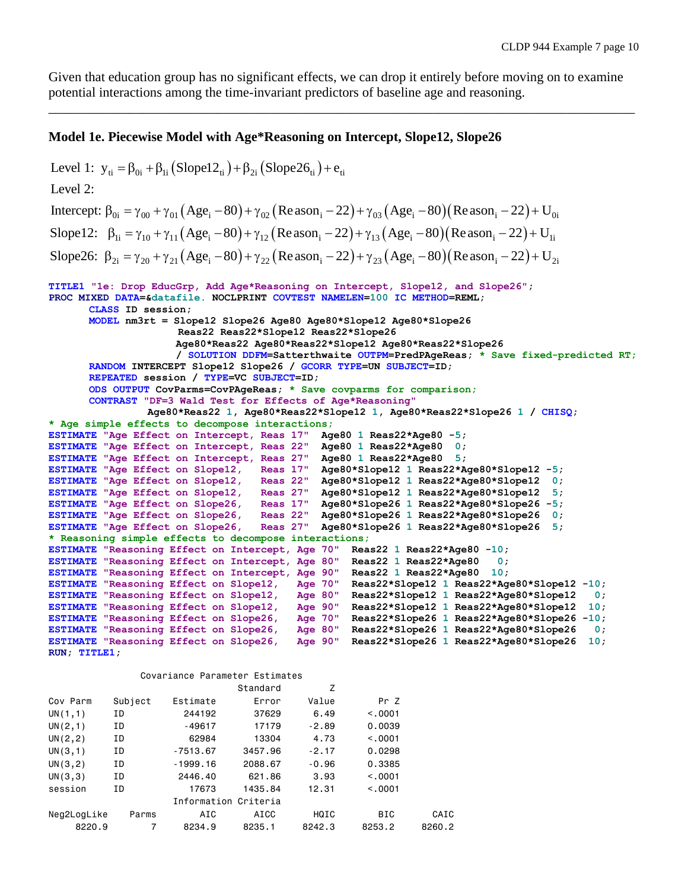Given that education group has no significant effects, we can drop it entirely before moving on to examine potential interactions among the time-invariant predictors of baseline age and reasoning.

\_\_\_\_\_\_\_\_\_\_\_\_\_\_\_\_\_\_\_\_\_\_\_\_\_\_\_\_\_\_\_\_\_\_\_\_\_\_\_\_\_\_\_\_\_\_\_\_\_\_\_\_\_\_\_\_\_\_\_\_\_\_\_\_\_\_\_\_\_\_\_\_\_\_\_\_\_\_\_\_\_\_\_\_\_\_\_

# **Model 1e. Piecewise Model with Age\*Reasoning on Intercept, Slope12, Slope26**

```
Level 1: y_{ti} = \beta_{0i} + \beta_{1i} (Slope22_{ti}) + \beta_{2i} (Slope26_{ti}) + e_{ti}Intercept: \beta_{0i} = \gamma_{00} + \gamma_{01} (Age_i - 80) + \gamma_{02} (Reason_i - 22) + \gamma_{03} (Age_i - 80) (Reason_i - 22) + U_{0i}Slope12: \beta_{1i} = \gamma_{10} + \gamma_{11} (Age_i - 80) + \gamma_{12} (Reason_i - 22) + \gamma_{13} (Age_i - 80) (Reason_i - 22) + U_{1i}Level 2: 
Slope26: \beta_{2i} = \gamma_{20} + \gamma_{21} (Age_i - 80) + \gamma_{22} (Reason_i - 22) + \gamma_{23} (Age_i - 80) (Reason_i - 22) + U_{2i}TITLE1 "1e: Drop EducGrp, Add Age*Reasoning on Intercept, Slope12, and Slope26";
PROC MIXED DATA=&datafile. NOCLPRINT COVTEST NAMELEN=100 IC METHOD=REML;
       CLASS ID session;
       MODEL nm3rt = Slope12 Slope26 Age80 Age80*Slope12 Age80*Slope26
                       Reas22 Reas22*Slope12 Reas22*Slope26 
                      Age80*Reas22 Age80*Reas22*Slope12 Age80*Reas22*Slope26
                      / SOLUTION DDFM=Satterthwaite OUTPM=PredPAgeReas; * Save fixed-predicted RT;
       RANDOM INTERCEPT Slope12 Slope26 / GCORR TYPE=UN SUBJECT=ID; 
       REPEATED session / TYPE=VC SUBJECT=ID;
       ODS OUTPUT CovParms=CovPAgeReas; * Save covparms for comparison;
       CONTRAST "DF=3 Wald Test for Effects of Age*Reasoning"
                  Age80*Reas22 1, Age80*Reas22*Slope12 1, Age80*Reas22*Slope26 1 / CHISQ;
* Age simple effects to decompose interactions;
ESTIMATE "Age Effect on Intercept, Reas 17" Age80 1 Reas22*Age80 -5;
ESTIMATE "Age Effect on Intercept, Reas 22" Age80 1 Reas22*Age80 0;
ESTIMATE "Age Effect on Intercept, Reas 27" Age80 1 Reas22*Age80 5;
ESTIMATE "Age Effect on Slope12, Reas 17" Age80*Slope12 1 Reas22*Age80*Slope12 -5;
ESTIMATE "Age Effect on Slope12, Reas 22" Age80*Slope12 1 Reas22*Age80*Slope12 0;
ESTIMATE "Age Effect on Slope12, Reas 27" Age80*Slope12 1 Reas22*Age80*Slope12 5;
ESTIMATE "Age Effect on Slope26, Reas 17" Age80*Slope26 1 Reas22*Age80*Slope26 -5;
ESTIMATE "Age Effect on Slope26, Reas 22" Age80*Slope26 1 Reas22*Age80*Slope26 0;
ESTIMATE "Age Effect on Slope26, Reas 27" Age80*Slope26 1 Reas22*Age80*Slope26 5;
* Reasoning simple effects to decompose interactions;
ESTIMATE "Reasoning Effect on Intercept, Age 70" Reas22 1 Reas22*Age80 -10;
ESTIMATE "Reasoning Effect on Intercept, Age 80" Reas22 1 Reas22*Age80 0;
ESTIMATE "Reasoning Effect on Intercept, Age 90" Reas22 1 Reas22*Age80 10;
ESTIMATE "Reasoning Effect on Slope12, Age 70" Reas22*Slope12 1 Reas22*Age80*Slope12 -10;
ESTIMATE "Reasoning Effect on Slope12, Age 80" Reas22*Slope12 1 Reas22*Age80*Slope12 0;
ESTIMATE "Reasoning Effect on Slope12, Age 90" Reas22*Slope12 1 Reas22*Age80*Slope12 10;
ESTIMATE "Reasoning Effect on Slope26, Age 70" Reas22*Slope26 1 Reas22*Age80*Slope26 -10;
ESTIMATE "Reasoning Effect on Slope26, Age 80" Reas22*Slope26 1 Reas22*Age80*Slope26 0;
                                           Rge 90" Reas22*Slope26 1 Reas22*Age80*Slope26 10;
RUN; TITLE1;
```
#### Covariance Parameter Estimates

|             |         |                      | Standard | Z       |         |        |
|-------------|---------|----------------------|----------|---------|---------|--------|
| Cov Parm    | Subject | Estimate             | Error    | Value   | Pr Z    |        |
| UN(1,1)     | ΙD      | 244192               | 37629    | 6.49    | < 0.001 |        |
| UN(2,1)     | ΙD      | $-49617$             | 17179    | $-2.89$ | 0.0039  |        |
| UN(2, 2)    | ΙD      | 62984                | 13304    | 4.73    | < 0.001 |        |
| UN(3,1)     | ΙD      | $-7513.67$           | 3457.96  | $-2.17$ | 0.0298  |        |
| UN(3, 2)    | ΙD      | $-1999.16$           | 2088.67  | $-0.96$ | 0.3385  |        |
| UN(3,3)     | ΙD      | 2446.40              | 621.86   | 3.93    | < 0.001 |        |
| session     | ΙD      | 17673                | 1435.84  | 12.31   | < 0.001 |        |
|             |         | Information Criteria |          |         |         |        |
| Neg2LogLike | Parms   | AIC                  | AICC     | HQIC    | BIC.    | CAIC   |
| 8220.9      | 7       | 8234.9               | 8235.1   | 8242.3  | 8253.2  | 8260.2 |
|             |         |                      |          |         |         |        |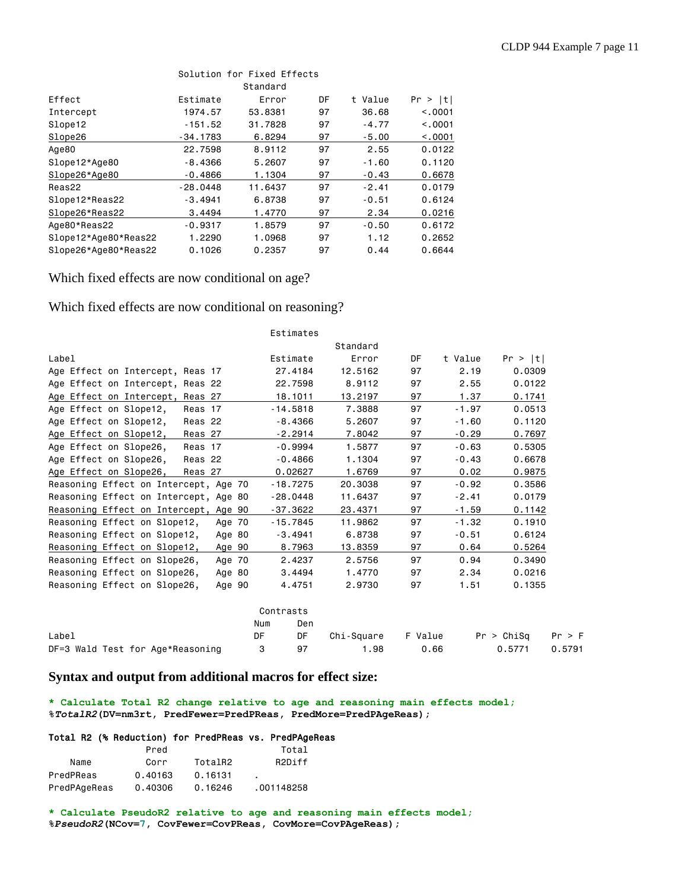|                      |            | Solution for Fixed Effects |    |         |         |
|----------------------|------------|----------------------------|----|---------|---------|
|                      |            | Standard                   |    |         |         |
| Effect               | Estimate   | Error                      | DF | t Value | Pr >  t |
| Intercept            | 1974.57    | 53,8381                    | 97 | 36.68   | < 0.001 |
| Slope12              | $-151.52$  | 31.7828                    | 97 | $-4.77$ | < 0.001 |
| Slope26              | $-34.1783$ | 6.8294                     | 97 | $-5.00$ | < 0.001 |
| Age80                | 22,7598    | 8,9112                     | 97 | 2.55    | 0.0122  |
| Slope12*Age80        | $-8,4366$  | 5.2607                     | 97 | $-1.60$ | 0.1120  |
| Slope26*Age80        | $-0.4866$  | 1.1304                     | 97 | $-0.43$ | 0.6678  |
| Reas22               | $-28.0448$ | 11,6437                    | 97 | $-2.41$ | 0.0179  |
| Slope12*Reas22       | $-3.4941$  | 6.8738                     | 97 | $-0.51$ | 0.6124  |
| Slope26*Reas22       | 3,4494     | 1.4770                     | 97 | 2.34    | 0.0216  |
| Age80*Reas22         | $-0.9317$  | 1.8579                     | 97 | $-0.50$ | 0.6172  |
| Slope12*Age80*Reas22 | 1,2290     | 1.0968                     | 97 | 1.12    | 0.2652  |
| Slope26*Age80*Reas22 | 0.1026     | 0.2357                     | 97 | 0.44    | 0.6644  |

# Which fixed effects are now conditional on age?

Which fixed effects are now conditional on reasoning?

|                                              | Estimates  |            |         |         |                      |  |
|----------------------------------------------|------------|------------|---------|---------|----------------------|--|
|                                              |            | Standard   |         |         |                      |  |
| Label                                        | Estimate   | Error      | DF      | t Value | Pr >  t              |  |
| Age Effect on Intercept, Reas 17             | 27.4184    | 12,5162    | 97      | 2.19    | 0.0309               |  |
| Age Effect on Intercept, Reas 22             | 22,7598    | 8.9112     | 97      | 2.55    | 0.0122               |  |
| Age Effect on Intercept, Reas 27             | 18.1011    | 13.2197    | 97      | 1.37    | 0.1741               |  |
| Age Effect on Slope12,<br>Reas 17            | $-14.5818$ | 7.3888     | 97      | $-1.97$ | 0.0513               |  |
| Age Effect on Slope12,<br>Reas <sub>22</sub> | $-8.4366$  | 5.2607     | 97      | $-1.60$ | 0.1120               |  |
| Age Effect on Slope12,<br>Reas 27            | $-2.2914$  | 7.8042     | 97      | $-0.29$ | 0.7697               |  |
| Age Effect on Slope26,<br>Reas 17            | $-0.9994$  | 1.5877     | 97      | $-0.63$ | 0.5305               |  |
| Age Effect on Slope26,<br>Reas <sub>22</sub> | $-0.4866$  | 1.1304     | 97      | $-0.43$ | 0.6678               |  |
| Age Effect on Slope26,<br>Reas 27            | 0.02627    | 1.6769     | 97      | 0.02    | 0.9875               |  |
| Reasoning Effect on Intercept, Age 70        | $-18.7275$ | 20,3038    | 97      | $-0.92$ | 0.3586               |  |
| Reasoning Effect on Intercept, Age 80        | $-28.0448$ | 11.6437    | 97      | $-2.41$ | 0.0179               |  |
| Reasoning Effect on Intercept, Age 90        | $-37.3622$ | 23.4371    | 97      | $-1.59$ | 0.1142               |  |
| Reasoning Effect on Slope12,<br>Age 70       | $-15.7845$ | 11,9862    | 97      | $-1.32$ | 0.1910               |  |
| Reasoning Effect on Slope12,<br>Age 80       | $-3.4941$  | 6.8738     | 97      | $-0.51$ | 0.6124               |  |
| Reasoning Effect on Slope12,<br>Age 90       | 8.7963     | 13.8359    | 97      | 0.64    | 0.5264               |  |
| Reasoning Effect on Slope26,<br>Age 70       | 2.4237     | 2.5756     | 97      | 0.94    | 0.3490               |  |
| Reasoning Effect on Slope26,<br>Age 80       | 3,4494     | 1,4770     | 97      | 2.34    | 0.0216               |  |
| Reasoning Effect on Slope26,<br>Age 90       | 4.4751     | 2.9730     | 97      | 1.51    | 0.1355               |  |
|                                              | Contrasts  |            |         |         |                      |  |
|                                              | Num<br>Den |            |         |         |                      |  |
| Label                                        | DF<br>DF   | Chi-Square | F Value |         | Pr > Chisq<br>Pr > F |  |
| DF=3 Wald Test for Age*Reasoning             | 3<br>97    | 1.98       | 0.66    |         | 0.5791<br>0.5771     |  |

# **Syntax and output from additional macros for effect size:**

**\* Calculate Total R2 change relative to age and reasoning main effects model; %***TotalR2***(DV=nm3rt, PredFewer=PredPReas, PredMore=PredPAgeReas);**

### Total R2 (% Reduction) for PredPReas vs. PredPAgeReas

|              | Pred    |         | Total               |
|--------------|---------|---------|---------------------|
| Name         | Corr    | TotalR2 | R <sub>2</sub> Diff |
| PredPReas    | 0.40163 | 0.16131 |                     |
| PredPAgeReas | 0.40306 | 0.16246 | .001148258          |

**\* Calculate PseudoR2 relative to age and reasoning main effects model; %***PseudoR2***(NCov=7, CovFewer=CovPReas, CovMore=CovPAgeReas);**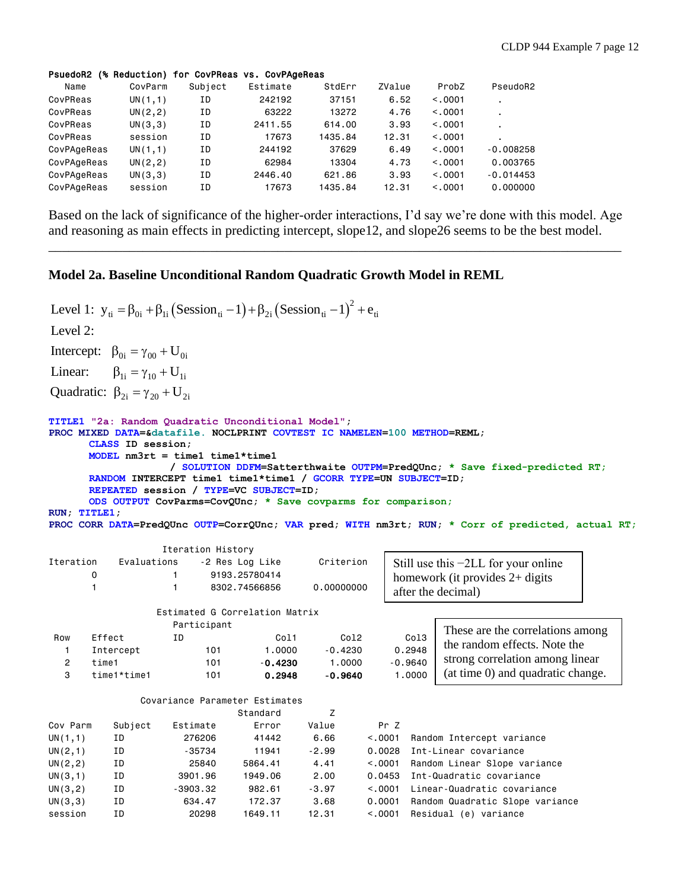### PsuedoR2 (% Reduction) for CovPReas vs. CovPAgeReas

| Name        | CovParm  | Subject | Estimate | StdErr  | ZValue | ProbZ   | PseudoR2       |
|-------------|----------|---------|----------|---------|--------|---------|----------------|
| CovPReas    | UN(1,1)  | ΙD      | 242192   | 37151   | 6.52   | < 0.001 | $\blacksquare$ |
| CovPReas    | UN(2, 2) | ΙD      | 63222    | 13272   | 4.76   | < 0.001 | ٠.             |
| CovPReas    | UN(3,3)  | ΙD      | 2411.55  | 614.00  | 3.93   | < 0.001 |                |
| CovPReas    | session  | ΙD      | 17673    | 1435.84 | 12.31  | < 0.001 |                |
| CovPAgeReas | UN(1,1)  | ΙD      | 244192   | 37629   | 6.49   | < 0.001 | $-0.008258$    |
| CovPAgeReas | UN(2, 2) | ΙD      | 62984    | 13304   | 4.73   | < 0.001 | 0.003765       |
| CovPAgeReas | UN(3,3)  | ΙD      | 2446.40  | 621.86  | 3.93   | < 0.001 | $-0.014453$    |
| CovPAgeReas | session  | ΙD      | 17673    | 1435.84 | 12.31  | < 0.001 | 0.000000       |

Based on the lack of significance of the higher-order interactions, I'd say we're done with this model. Age and reasoning as main effects in predicting intercept, slope12, and slope26 seems to be the best model.

\_\_\_\_\_\_\_\_\_\_\_\_\_\_\_\_\_\_\_\_\_\_\_\_\_\_\_\_\_\_\_\_\_\_\_\_\_\_\_\_\_\_\_\_\_\_\_\_\_\_\_\_\_\_\_\_\_\_\_\_\_\_\_\_\_\_\_\_\_\_\_\_\_\_\_\_\_\_\_\_\_\_\_\_\_

# **Model 2a. Baseline Unconditional Random Quadratic Growth Model in REML**

```
(Session_{ti}-1)+\beta_{2i}(Session_{ti}-1)^2Level 1: y_{ti} = \beta_{0i} + \beta_{1i} (Session<sub>ti</sub> -1) + \beta_{2i} (Session<sub>ti</sub> -1)<sup>2</sup> + e_{ti}Intercept: \beta_{0i} = \gamma_{00} + U_{0i}Linear: \beta_{1i} = \gamma_{10} + U_{1i}Quadratic: \beta_{2i} = \gamma_{20} + U_{2i}Level 2: 
TITLE1 "2a: Random Quadratic Unconditional Model";
PROC MIXED DATA=&datafile. NOCLPRINT COVTEST IC NAMELEN=100 METHOD=REML;
      CLASS ID session;
      MODEL nm3rt = time1 time1*time1 
                   / SOLUTION DDFM=Satterthwaite OUTPM=PredQUnc; * Save fixed-predicted RT;
      RANDOM INTERCEPT time1 time1*time1 / GCORR TYPE=UN SUBJECT=ID;
      REPEATED session / TYPE=VC SUBJECT=ID; 
      ODS OUTPUT CovParms=CovQUnc; * Save covparms for comparison;
RUN; TITLE1;
PROC CORR DATA=PredQUnc OUTP=CorrQUnc; VAR pred; WITH nm3rt; RUN; * Corr of predicted, actual RT;
                   Iteration History
Iteration Evaluations -2 Res Log Like Criterion
       0 1 9193.25780414
        1 1 8302.74566856 0.00000000
                  Estimated G Correlation Matrix
                    Participant
 Row Effect ID Col1 Col2 Col3
   1 Intercept 101 1.0000 -0.4230 0.2948
  2 time1 101 -0.4230 1.0000 -0.9640
   3 time1*time1 101 0.2948 -0.9640 1.0000
               Covariance Parameter Estimates
                               Standard Z
Cov Parm Subject Estimate Error Value Pr Z
UN(1,1) ID 276206 41442 6.66 <.0001 Random Intercept variance
UN(2,1) ID -35734 11941 -2.99 0.0028 Int-Linear covariance
UN(2,2) ID 25840 5864.41 4.41 <.0001 Random Linear Slope variance
UN(3,1) ID 3901.96 1949.06 2.00 0.0453 Int-Quadratic covariance
UN(3,2) ID -3903.32 982.61 -3.97 <.0001 Linear-Quadratic covariance
UN(3,3) ID 634.47 172.37 3.68 0.0001 Random Quadratic Slope variance
session ID 20298 1649.11 12.31 <.0001 Residual (e) variance
                                                       Still use this −2LL for your online 
                                                       homework (it provides 2+ digits 
                                                       after the decimal)
                                                               These are the correlations among 
                                                               the random effects. Note the 
                                                               strong correlation among linear 
                                                               (at time 0) and quadratic change.
```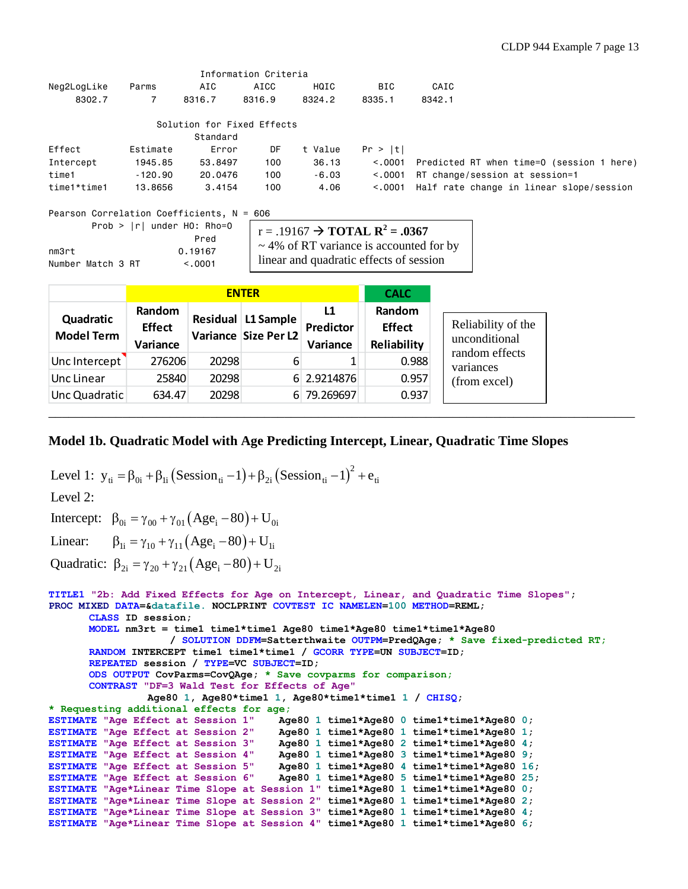|                                             |          |                                      | Information Criteria |                                                                                                   |            |                                           |
|---------------------------------------------|----------|--------------------------------------|----------------------|---------------------------------------------------------------------------------------------------|------------|-------------------------------------------|
| Neg2LogLike                                 | Parms    | AIC                                  | AICC                 | HQIC                                                                                              | <b>BIC</b> | CAIC                                      |
| 8302.7                                      | 7        | 8316.7                               | 8316.9               | 8324.2                                                                                            | 8335.1     | 8342.1                                    |
|                                             |          | Solution for Fixed Effects           |                      |                                                                                                   |            |                                           |
|                                             |          | Standard                             |                      |                                                                                                   |            |                                           |
| Effect                                      | Estimate | Error                                | DF                   | t Value                                                                                           | Pr >  t    |                                           |
| Intercept                                   | 1945.85  | 53,8497                              | 100                  | 36.13                                                                                             | < 0.0001   | Predicted RT when time=0 (session 1 here) |
| time1                                       | -120.90  | 20,0476                              | 100                  | $-6.03$                                                                                           | < 0.0001   | RT change/session at session=1            |
| time1*time1                                 | 13.8656  | 3.4154                               | 100                  | 4.06                                                                                              | < 0.001    | Half rate change in linear slope/session  |
| Pearson Correlation Coefficients, $N = 606$ |          |                                      |                      |                                                                                                   |            |                                           |
|                                             |          | Prob > $ r $ under H0: Rho=0<br>Pred |                      | $r = .19167 \rightarrow$ TOTAL $R^2 = .0367$<br>$\mathcal{L} \circ \mathcal{L} \circ \mathcal{L}$ |            |                                           |

nm3rt 0.19167 Number Match 3 RT <.0001

~ 4% of RT variance is accounted for by linear and quadratic effects of session

|                                |                                     |       | <b>ENTER</b>                               |                             | <b>CALC</b>                            |
|--------------------------------|-------------------------------------|-------|--------------------------------------------|-----------------------------|----------------------------------------|
| Quadratic<br><b>Model Term</b> | Random<br><b>Effect</b><br>Variance |       | Residual L1 Sample<br>Variance Size Per L2 | L1<br>Predictor<br>Variance | Random<br><b>Effect</b><br>Reliability |
| Unc Intercept                  | 276206                              | 20298 | 6                                          |                             | 0.988                                  |
| Unc Linear                     | 25840                               | 20298 |                                            | 6 2.9214876                 | 0.957                                  |
| Unc Quadratic                  | 634.47                              | 20298 |                                            | 6 79.269697                 | 0.937                                  |

# **Model 1b. Quadratic Model with Age Predicting Intercept, Linear, Quadratic Time Slopes**

```
(Session_{ti}-1) + \beta_{2i} (Session_{ti}-1)^2Intercept: \beta_{0i} = \gamma_{00} + \gamma_{01} (Age_i - 80) + U_{0i}Linear: \beta_{1i} = \gamma_{10} + \gamma_{11} (Age_i - 80) + U_{1i}Quadratic: \beta_{2i} = \gamma_{20} + \gamma_{21} (Age_i - 80) + U_{2i}Level 1: y_{ti} = \beta_{0i} + \beta_{1i} (Session<sub>ti</sub> -1) + \beta_{2i} (Session<sub>ti</sub> -1)<sup>2</sup> + e_{ti}Level 2: 
TITLE1 "2b: Add Fixed Effects for Age on Intercept, Linear, and Quadratic Time Slopes";
PROC MIXED DATA=&datafile. NOCLPRINT COVTEST IC NAMELEN=100 METHOD=REML;
       CLASS ID session;
       MODEL nm3rt = time1 time1*time1 Age80 time1*Age80 time1*time1*Age80
                      / SOLUTION DDFM=Satterthwaite OUTPM=PredQAge; * Save fixed-predicted RT;
       RANDOM INTERCEPT time1 time1*time1 / GCORR TYPE=UN SUBJECT=ID;
       REPEATED session / TYPE=VC SUBJECT=ID; 
       ODS OUTPUT CovParms=CovQAge; * Save covparms for comparison;
       CONTRAST "DF=3 Wald Test for Effects of Age"
                   Age80 1, Age80*time1 1, Age80*time1*time1 1 / CHISQ;
* Requesting additional effects for age;
ESTIMATE "Age Effect at Session 1" Age80 1 time1*Age80 0 time1*time1*Age80 0;
ESTIMATE "Age Effect at Session 2" Age80 1 time1*Age80 1 time1*time1*Age80 1;
ESTIMATE "Age Effect at Session 3" Age80 1 time1*Age80 2 time1*time1*Age80 4;
ESTIMATE "Age Effect at Session 4" Age80 1 time1*Age80 3 time1*time1*Age80 9;
ESTIMATE "Age Effect at Session 5" Age80 1 time1*Age80 4 time1*time1*Age80 16;
ESTIMATE "Age Effect at Session 6" Age80 1 time1*Age80 5 time1*time1*Age80 25;
ESTIMATE "Age*Linear Time Slope at Session 1" time1*Age80 1 time1*time1*Age80 0;
ESTIMATE "Age*Linear Time Slope at Session 2" time1*Age80 1 time1*time1*Age80 2;
ESTIMATE "Age*Linear Time Slope at Session 3" time1*Age80 1 time1*time1*Age80 4;
ESTIMATE "Age*Linear Time Slope at Session 4" time1*Age80 1 time1*time1*Age80 6;
```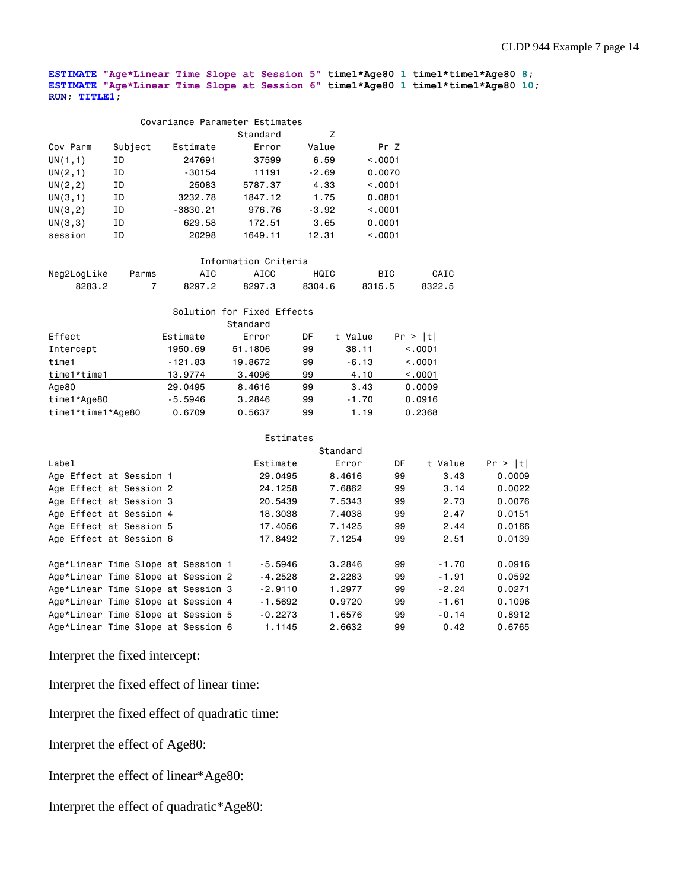**ESTIMATE "Age\*Linear Time Slope at Session 5" time1\*Age80 1 time1\*time1\*Age80 8; ESTIMATE "Age\*Linear Time Slope at Session 6" time1\*Age80 1 time1\*time1\*Age80 10; RUN; TITLE1;**

|          | Covariance Parameter Estimates |            |          |         |          |  |  |  |  |
|----------|--------------------------------|------------|----------|---------|----------|--|--|--|--|
|          |                                |            | Standard | Z       |          |  |  |  |  |
| Cov Parm | Subject                        | Estimate   | Error    | Value   | Pr Z     |  |  |  |  |
| UN(1,1)  | ΙD                             | 247691     | 37599    | 6.59    | < 0.001  |  |  |  |  |
| UN(2,1)  | ΙD                             | $-30154$   | 11191    | $-2.69$ | 0.0070   |  |  |  |  |
| UN(2, 2) | ΙD                             | 25083      | 5787.37  | 4.33    | < 0.001  |  |  |  |  |
| UN(3,1)  | ΙD                             | 3232.78    | 1847.12  | 1.75    | 0.0801   |  |  |  |  |
| UN(3, 2) | ΙD                             | $-3830.21$ | 976.76   | $-3.92$ | < 0.0001 |  |  |  |  |
| UN(3,3)  | ΙD                             | 629.58     | 172.51   | 3.65    | 0.0001   |  |  |  |  |
| session  | ΙD                             | 20298      | 1649.11  | 12.31   | < 0.001  |  |  |  |  |

| Information Criteria |       |        |        |        |        |        |  |  |
|----------------------|-------|--------|--------|--------|--------|--------|--|--|
| Neg2LogLike          | Parms | AIC    | ATCC   | HQIC   | BTC.   | CAIC   |  |  |
| 8283.2               |       | 8297.2 | 8297.3 | 8304.6 | 8315.5 | 8322.5 |  |  |

|                   |           | Solution for Fixed Effects |    |         |          |
|-------------------|-----------|----------------------------|----|---------|----------|
|                   |           | Standard                   |    |         |          |
| Effect            | Estimate  | Error                      | DF | t Value | Pr >  t  |
| Intercept         | 1950.69   | 51,1806                    | 99 | 38.11   | < 0.0001 |
| time1             | $-121.83$ | 19,8672                    | 99 | $-6.13$ | < 0.001  |
| time1*time1       | 13,9774   | 3,4096                     | 99 | 4.10    | < 0.001  |
| Age80             | 29,0495   | 8,4616                     | 99 | 3.43    | 0.0009   |
| time1*Age80       | $-5.5946$ | 3,2846                     | 99 | $-1.70$ | 0.0916   |
| time1*time1*Age80 | 0.6709    | 0.5637                     | 99 | 1.19    | 0.2368   |

|           | Standard                                                                                                                                                                                                                         |           |         |         |
|-----------|----------------------------------------------------------------------------------------------------------------------------------------------------------------------------------------------------------------------------------|-----------|---------|---------|
| Estimate  | Error                                                                                                                                                                                                                            | DF        | t Value | Pr >  t |
| 29,0495   | 8.4616                                                                                                                                                                                                                           | 99        | 3.43    | 0.0009  |
| 24,1258   | 7.6862                                                                                                                                                                                                                           | 99        | 3.14    | 0.0022  |
| 20,5439   | 7.5343                                                                                                                                                                                                                           | 99        | 2.73    | 0.0076  |
| 18,3038   | 7.4038                                                                                                                                                                                                                           | 99        | 2.47    | 0.0151  |
| 17,4056   | 7.1425                                                                                                                                                                                                                           | 99        | 2.44    | 0.0166  |
| 17,8492   | 7.1254                                                                                                                                                                                                                           | 99        | 2.51    | 0.0139  |
| $-5.5946$ | 3,2846                                                                                                                                                                                                                           | 99        | $-1.70$ | 0.0916  |
| $-4.2528$ | 2,2283                                                                                                                                                                                                                           | 99        | $-1.91$ | 0.0592  |
| $-2.9110$ | 1,2977                                                                                                                                                                                                                           | 99        | $-2.24$ | 0.0271  |
| $-1.5692$ | 0.9720                                                                                                                                                                                                                           | 99        | $-1.61$ | 0.1096  |
| $-0.2273$ | 1.6576                                                                                                                                                                                                                           | 99        | $-0.14$ | 0.8912  |
| 1.1145    | 2.6632                                                                                                                                                                                                                           | 99        | 0.42    | 0.6765  |
|           | Age*Linear Time Slope at Session 1<br>Age*Linear Time Slope at Session 2<br>Age*Linear Time Slope at Session 3<br>Age*Linear Time Slope at Session 4<br>Age*Linear Time Slope at Session 5<br>Age*Linear Time Slope at Session 6 | Estimates |         |         |

Interpret the fixed intercept:

Interpret the fixed effect of linear time:

Interpret the fixed effect of quadratic time:

Interpret the effect of Age80:

Interpret the effect of linear\*Age80:

Interpret the effect of quadratic\*Age80: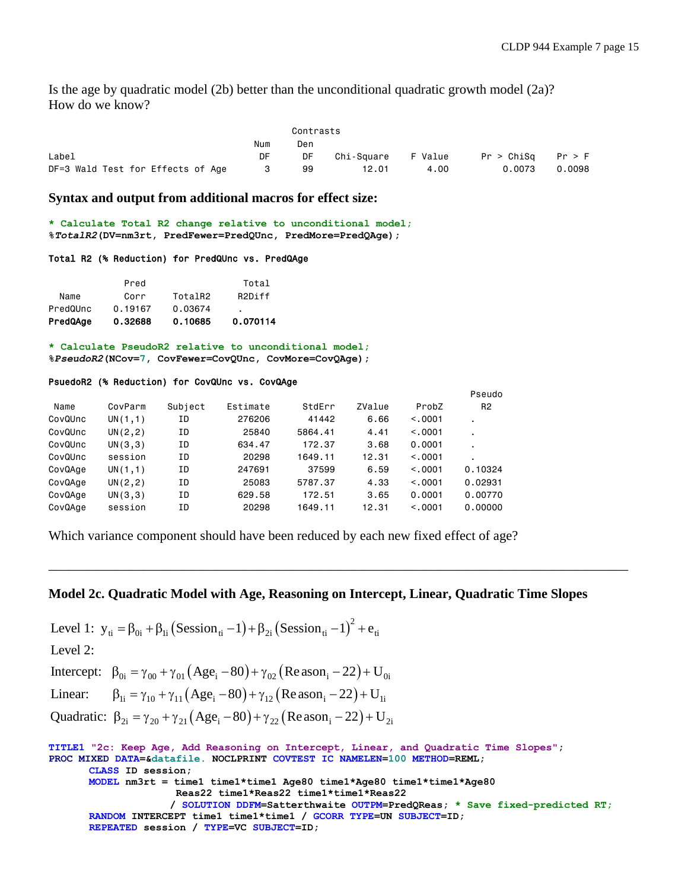Is the age by quadratic model  $(2b)$  better than the unconditional quadratic growth model  $(2a)$ ? How do we know?

|                                   |     | Contrasts |                    |      |                       |        |
|-----------------------------------|-----|-----------|--------------------|------|-----------------------|--------|
|                                   | Num | Den       |                    |      |                       |        |
| Label                             | DF  | DF        | Chi-Square F Value |      | $Pr > Chisq$ $Pr > F$ |        |
| DF=3 Wald Test for Effects of Age |     | 99        | 12.01              | 4.00 | 0.0073                | 0.0098 |

### **Syntax and output from additional macros for effect size:**

**\* Calculate Total R2 change relative to unconditional model; %***TotalR2***(DV=nm3rt, PredFewer=PredQUnc, PredMore=PredQAge);**

### Total R2 (% Reduction) for PredQUnc vs. PredQAge

| PredQAge | 0.32688 | 0.10685 | 0.070114            |
|----------|---------|---------|---------------------|
| PredQUnc | 0.19167 | 0.03674 | ٠                   |
| Name     | Corr    | TotalR2 | R <sub>2</sub> Diff |
|          | Pred    |         | Total               |

**\* Calculate PseudoR2 relative to unconditional model; %***PseudoR2***(NCov=7, CovFewer=CovQUnc, CovMore=CovQAge);**

### PsuedoR2 (% Reduction) for CovQUnc vs. CovQAge

|         |          |         |          |         |        |          | Pseudo         |
|---------|----------|---------|----------|---------|--------|----------|----------------|
| Name    | CovParm  | Subject | Estimate | StdErr  | ZValue | ProbZ    | R <sub>2</sub> |
| CovQUnc | UN(1,1)  | ΙD      | 276206   | 41442   | 6.66   | < 0.0001 |                |
| CovQUnc | UN(2, 2) | ΙD      | 25840    | 5864.41 | 4.41   | < 0.0001 |                |
| CovQUnc | UN(3,3)  | ΙD      | 634.47   | 172.37  | 3,68   | 0.0001   |                |
| CovQUnc | session  | ΙD      | 20298    | 1649.11 | 12.31  | < 0.001  |                |
| CovQAge | UN(1,1)  | ΙD      | 247691   | 37599   | 6.59   | < 0.001  | 0.10324        |
| CovQAge | UN(2, 2) | ΙD      | 25083    | 5787.37 | 4.33   | < 0.001  | 0.02931        |
| CovQAge | UN(3,3)  | ΙD      | 629.58   | 172.51  | 3.65   | 0.0001   | 0.00770        |
| CovQAge | session  | ΙD      | 20298    | 1649.11 | 12.31  | < 0.0001 | 0,00000        |
|         |          |         |          |         |        |          |                |

Which variance component should have been reduced by each new fixed effect of age?

# **Model 2c. Quadratic Model with Age, Reasoning on Intercept, Linear, Quadratic Time Slopes**

\_\_\_\_\_\_\_\_\_\_\_\_\_\_\_\_\_\_\_\_\_\_\_\_\_\_\_\_\_\_\_\_\_\_\_\_\_\_\_\_\_\_\_\_\_\_\_\_\_\_\_\_\_\_\_\_\_\_\_\_\_\_\_\_\_\_\_\_\_\_\_\_\_\_\_\_\_\_\_\_\_\_\_\_\_\_

```
(Session_{ti} -1) + \beta_{2i} (Session_{ti} -1)^2Level 1: y_{ti} = \beta_{0i} + \beta_{1i} (Session<sub>ti</sub> -1) + \beta_{2i} (Session<sub>ti</sub> -1)<sup>2</sup> + e_{ti}Level 2:
```
Intercept:  $\beta_{0i} = \gamma_{00} + \gamma_{01} (Age_i - 80) + \gamma_{02} (Reason_i - 22) + U_{0i}$ 

Linear:  $\beta_{1i} = \gamma_{10} + \gamma_{11} (Age_i - 80) + \gamma_{12} (Reason_i - 22) + U_{1i}$ 

Quadratic:  $\beta_{2i} = \gamma_{20} + \gamma_{21} (Age_i - 80) + \gamma_{22} (Readi - 22) + U_{2i}$ 

**TITLE1 "2c: Keep Age, Add Reasoning on Intercept, Linear, and Quadratic Time Slopes"; PROC MIXED DATA=&datafile. NOCLPRINT COVTEST IC NAMELEN=100 METHOD=REML; CLASS ID session; MODEL nm3rt = time1 time1\*time1 Age80 time1\*Age80 time1\*time1\*Age80 Reas22 time1\*Reas22 time1\*time1\*Reas22 / SOLUTION DDFM=Satterthwaite OUTPM=PredQReas; \* Save fixed-predicted RT; RANDOM INTERCEPT time1 time1\*time1 / GCORR TYPE=UN SUBJECT=ID; REPEATED session / TYPE=VC SUBJECT=ID;**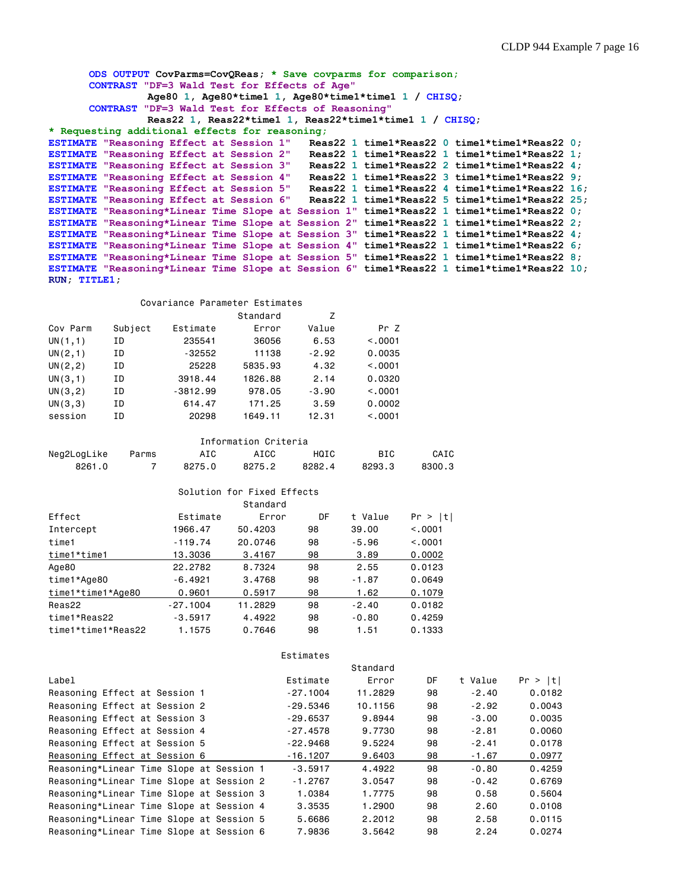```
ODS OUTPUT CovParms=CovQReas; * Save covparms for comparison;
      CONTRAST "DF=3 Wald Test for Effects of Age"
                Age80 1, Age80*time1 1, Age80*time1*time1 1 / CHISQ;
      CONTRAST "DF=3 Wald Test for Effects of Reasoning"
                 Reas22 1, Reas22*time1 1, Reas22*time1*time1 1 / CHISQ;
* Requesting additional effects for reasoning;
ESTIMATE "Reasoning Effect at Session 1" Reas22 1 time1*Reas22 0 time1*time1*Reas22 0;
ESTIMATE "Reasoning Effect at Session 2" Reas22 1 time1*Reas22 1 time1*time1*Reas22 1;
ESTIMATE "Reasoning Effect at Session 3" Reas22 1 time1*Reas22 2 time1*time1*Reas22 4;
ESTIMATE "Reasoning Effect at Session 4" Reas22 1 time1*Reas22 3 time1*time1*Reas22 9;
ESTIMATE "Reasoning Effect at Session 5" Reas22 1 time1*Reas22 4 time1*time1*Reas22 16;
ESTIMATE "Reasoning Effect at Session 6" Reas22 1 time1*Reas22 5 time1*time1*Reas22 25;
ESTIMATE "Reasoning*Linear Time Slope at Session 1" time1*Reas22 1 time1*time1*Reas22 0;
ESTIMATE "Reasoning*Linear Time Slope at Session 2" time1*Reas22 1 time1*time1*Reas22 2;
ESTIMATE "Reasoning*Linear Time Slope at Session 3" time1*Reas22 1 time1*time1*Reas22 4;
ESTIMATE "Reasoning*Linear Time Slope at Session 4" time1*Reas22 1 time1*time1*Reas22 6;
ESTIMATE "Reasoning*Linear Time Slope at Session 5" time1*Reas22 1 time1*time1*Reas22 8;
ESTIMATE "Reasoning*Linear Time Slope at Session 6" time1*Reas22 1 time1*time1*Reas22 10;
RUN; TITLE1;
```

|          |         | Covariance Parameter Estimates |          |         |          |
|----------|---------|--------------------------------|----------|---------|----------|
|          |         |                                | Standard | 7       |          |
| Cov Parm | Subject | Estimate                       | Error    | Value   | Pr Z     |
| UN(1,1)  | ΙD      | 235541                         | 36056    | 6.53    | < 0.0001 |
| UN(2,1)  | ΙD      | -32552                         | 11138    | $-2.92$ | 0.0035   |
| UN(2, 2) | ΙD      | 25228                          | 5835.93  | 4.32    | < 0.001  |
| UN(3,1)  | ΙD      | 3918.44                        | 1826.88  | 2.14    | 0.0320   |
| UN(3, 2) | ΙD      | $-3812.99$                     | 978.05   | $-3.90$ | < 0.001  |
| UN(3,3)  | ΙD      | 614.47                         | 171.25   | 3.59    | 0.0002   |
| session  | ΙD      | 20298                          | 1649.11  | 12.31   | < 0.001  |

| Information Criteria |       |        |        |             |        |        |  |  |
|----------------------|-------|--------|--------|-------------|--------|--------|--|--|
| Neg2LogLike          | Parms | AIC    | ATCC.  | <b>HOTC</b> | BTC.   | CAIC   |  |  |
| 8261.0               |       | 8275.0 | 8275.2 | 8282.4      | 8293.3 | 8300.3 |  |  |

|                    |            | Solution for Fixed Effects |    |         |         |
|--------------------|------------|----------------------------|----|---------|---------|
|                    |            | Standard                   |    |         |         |
| Effect             | Estimate   | Error                      | DF | t Value | Pr >  t |
| Intercept          | 1966.47    | 50.4203                    | 98 | 39,00   | < 0.001 |
| time1              | $-119.74$  | 20.0746                    | 98 | $-5.96$ | < 0.001 |
| time1*time1        | 13.3036    | 3.4167                     | 98 | 3.89    | 0.0002  |
| Age80              | 22,2782    | 8.7324                     | 98 | 2.55    | 0.0123  |
| time1*Age80        | $-6.4921$  | 3.4768                     | 98 | $-1.87$ | 0.0649  |
| time1*time1*Age80  | 0.9601     | 0.5917                     | 98 | 1.62    | 0.1079  |
| Reas22             | $-27.1004$ | 11.2829                    | 98 | $-2.40$ | 0.0182  |
| time1*Reas22       | $-3.5917$  | 4.4922                     | 98 | $-0.80$ | 0.4259  |
| time1*time1*Reas22 | 1.1575     | 0.7646                     | 98 | 1.51    | 0.1333  |

|                                          |  | Estimates  |          |    |         |         |
|------------------------------------------|--|------------|----------|----|---------|---------|
|                                          |  |            | Standard |    |         |         |
| Label                                    |  | Estimate   | Error    | DF | t Value | Pr >  t |
| Reasoning Effect at Session 1            |  | $-27.1004$ | 11,2829  | 98 | $-2.40$ | 0.0182  |
| Reasoning Effect at Session 2            |  | $-29.5346$ | 10.1156  | 98 | $-2.92$ | 0.0043  |
| Reasoning Effect at Session 3            |  | $-29.6537$ | 9.8944   | 98 | $-3.00$ | 0.0035  |
| Reasoning Effect at Session 4            |  | $-27.4578$ | 9.7730   | 98 | $-2.81$ | 0,0060  |
| Reasoning Effect at Session 5            |  | $-22.9468$ | 9.5224   | 98 | $-2.41$ | 0.0178  |
| Reasoning Effect at Session 6            |  | $-16.1207$ | 9.6403   | 98 | $-1.67$ | 0.0977  |
| Reasoning*Linear Time Slope at Session 1 |  | $-3.5917$  | 4.4922   | 98 | $-0.80$ | 0.4259  |
| Reasoning*Linear Time Slope at Session 2 |  | $-1.2767$  | 3,0547   | 98 | $-0.42$ | 0.6769  |
| Reasoning*Linear Time Slope at Session 3 |  | 1.0384     | 1.7775   | 98 | 0.58    | 0.5604  |
| Reasoning*Linear Time Slope at Session 4 |  | 3,3535     | 1,2900   | 98 | 2.60    | 0.0108  |
| Reasoning*Linear Time Slope at Session 5 |  | 5.6686     | 2,2012   | 98 | 2.58    | 0.0115  |
| Reasoning*Linear Time Slope at Session 6 |  | 7.9836     | 3.5642   | 98 | 2.24    | 0.0274  |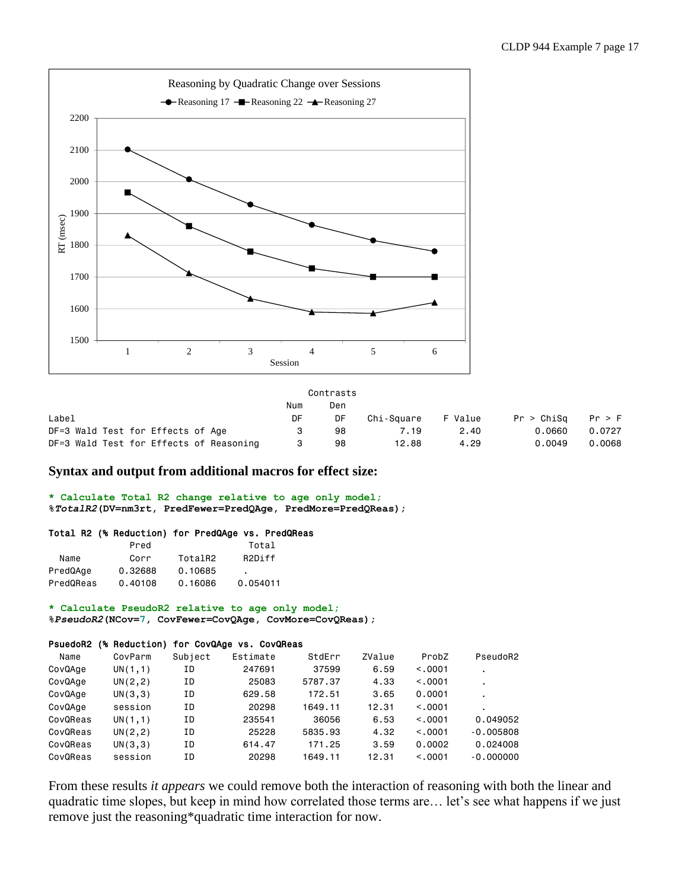

|                                         |     | Contrasts |            |         |            |        |
|-----------------------------------------|-----|-----------|------------|---------|------------|--------|
|                                         | Num | Den       |            |         |            |        |
| Label                                   | DF  | DF        | Chi-Sauare | F Value | Pr > Chisq | Pr > F |
| DF=3 Wald Test for Effects of Age       |     | 98        | 7.19       | 2.40    | 0.0660     | 0.0727 |
| DF=3 Wald Test for Effects of Reasoning |     | 98        | 12.88      | 4.29    | 0.0049     | 0.0068 |

# **Syntax and output from additional macros for effect size:**

**\* Calculate Total R2 change relative to age only model; %***TotalR2***(DV=nm3rt, PredFewer=PredQAge, PredMore=PredQReas);**

### Total R2 (% Reduction) for PredQAge vs. PredQReas

|           | Pred    |         | Total               |
|-----------|---------|---------|---------------------|
| Name      | Corr    | TotalR2 | R <sub>2</sub> Diff |
| PredQAge  | 0.32688 | 0.10685 | $\blacksquare$      |
| PredQReas | 0.40108 | 0.16086 | 0.054011            |

**\* Calculate PseudoR2 relative to age only model; %***PseudoR2***(NCov=7, CovFewer=CovQAge, CovMore=CovQReas);**

### PsuedoR2 (% Reduction) for CovQAge vs. CovQReas

| Name     | CovParm  | Subject | Estimate | StdErr  | ZValue | ProbZ   | PseudoR2    |
|----------|----------|---------|----------|---------|--------|---------|-------------|
| CovQAge  | UN(1,1)  | ΙD      | 247691   | 37599   | 6.59   | < 0.001 | ٠           |
| CovQAge  | UN(2, 2) | ΙD      | 25083    | 5787.37 | 4.33   | < 0.001 |             |
| CovQAge  | UN(3,3)  | ΙD      | 629.58   | 172.51  | 3.65   | 0.0001  |             |
| CovQAge  | session  | ΙD      | 20298    | 1649.11 | 12.31  | < 0.001 |             |
| CovQReas | UN(1,1)  | ΙD      | 235541   | 36056   | 6.53   | < 0.001 | 0.049052    |
| CovQReas | UN(2, 2) | ΙD      | 25228    | 5835.93 | 4.32   | < 0.001 | $-0.005808$ |
| CovQReas | UN(3,3)  | ΙD      | 614.47   | 171.25  | 3.59   | 0.0002  | 0.024008    |
| CovQReas | session  | ΙD      | 20298    | 1649.11 | 12.31  | < 0.001 | $-0.000000$ |

From these results *it appears* we could remove both the interaction of reasoning with both the linear and quadratic time slopes, but keep in mind how correlated those terms are… let's see what happens if we just remove just the reasoning\*quadratic time interaction for now.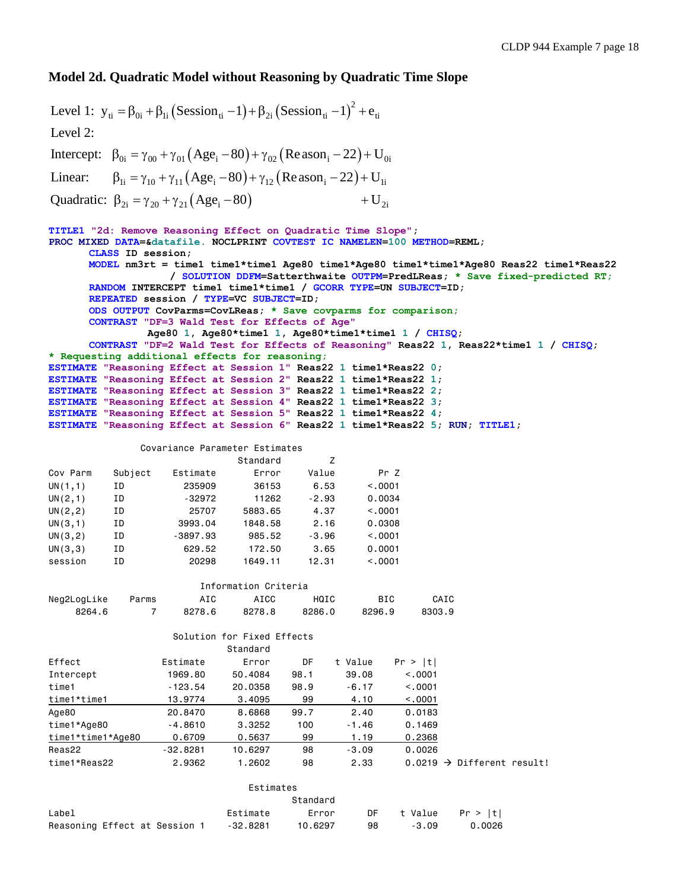# **Model 2d. Quadratic Model without Reasoning by Quadratic Time Slope**

 $(Session_{ti}-1) + \beta_{2i} (Session_{ti}-1)^2$ Intercept:  $\beta_{0i} = \gamma_{00} + \gamma_{01} (Age_i - 80) + \gamma_{02} (Reason_i - 22) + U_{0i}$ Linear:  $\beta_{1i} = \gamma_{10} + \gamma_{11} (Age_i - 80) + \gamma_{12} (Reason_i - 22) + U_{1i}$ Quadratic:  $\beta_{2i} = \gamma_{20} + \gamma_{21} (Age_i - 80) + U_{2i}$ Level 1:  $y_{ti} = \beta_{0i} + \beta_{1i}$  (Session<sub>ti</sub> -1)+ $\beta_{2i}$  (Session<sub>ti</sub> -1)<sup>-</sup> +  $e_{ti}$ Level 2: **TITLE1 "2d: Remove Reasoning Effect on Quadratic Time Slope"; PROC MIXED DATA=&datafile. NOCLPRINT COVTEST IC NAMELEN=100 METHOD=REML; CLASS ID session; MODEL nm3rt = time1 time1\*time1 Age80 time1\*Age80 time1\*time1\*Age80 Reas22 time1\*Reas22 / SOLUTION DDFM=Satterthwaite OUTPM=PredLReas; \* Save fixed-predicted RT; RANDOM INTERCEPT time1 time1\*time1 / GCORR TYPE=UN SUBJECT=ID; REPEATED session / TYPE=VC SUBJECT=ID; ODS OUTPUT CovParms=CovLReas; \* Save covparms for comparison; CONTRAST "DF=3 Wald Test for Effects of Age" Age80 1, Age80\*time1 1, Age80\*time1\*time1 1 / CHISQ; CONTRAST "DF=2 Wald Test for Effects of Reasoning" Reas22 1, Reas22\*time1 1 / CHISQ; \* Requesting additional effects for reasoning; ESTIMATE "Reasoning Effect at Session 1" Reas22 1 time1\*Reas22 0; ESTIMATE "Reasoning Effect at Session 2" Reas22 1 time1\*Reas22 1; ESTIMATE "Reasoning Effect at Session 3" Reas22 1 time1\*Reas22 2; ESTIMATE "Reasoning Effect at Session 4" Reas22 1 time1\*Reas22 3; ESTIMATE "Reasoning Effect at Session 5" Reas22 1 time1\*Reas22 4; ESTIMATE "Reasoning Effect at Session 6" Reas22 1 time1\*Reas22 5; RUN; TITLE1;** Covariance Parameter Estimates Standard 7 Cov Parm Subject Estimate Error Value Pr Z UN(1,1) ID 235909 36153 6.53 <.0001 UN(2,1) ID -32972 11262 -2.93 0.0034 UN(2,2) ID 25707 5883.65 4.37 <.0001 UN(3,1) ID 3993.04 1848.58 2.16 0.0308 UN(3,2) ID -3897.93 985.52 -3.96 <.0001 UN(3,3) ID 629.52 172.50 3.65 0.0001 session ID 20298 1649.11 12.31 <.0001 Information Criteria Neg2LogLike Parms AIC AICC HQIC BIC CAIC 8264.6 7 8278.6 8278.8 8286.0 8296.9 8303.9 Solution for Fixed Effects Standard Effect Estimate Error DF t Value Pr > |t| Intercept 1969.80 50.4084 98.1 39.08 <.0001 time1 -123.54 20.0358 98.9 -6.17 <.0001 time1\*time1 13.9774 3.4095 99 4.10 <.0001 Age80 20.8470 8.6868 99.7 2.40 0.0183 time1\*Age80 -4.8610 3.3252 100 -1.46 0.1469 time1\*time1\*Age80 0.6709 0.5637 99 1.19 0.2368 Reas22 -32.8281 10.6297 98 -3.09 0.0026 time1\*Reas22 2.9362 1.2602 98 2.33 0.0219 Different result! Estimates Standard Label Estimate Error DF t Value Pr > |t|

Reasoning Effect at Session 1 -32.8281 10.6297 98 -3.09 0.0026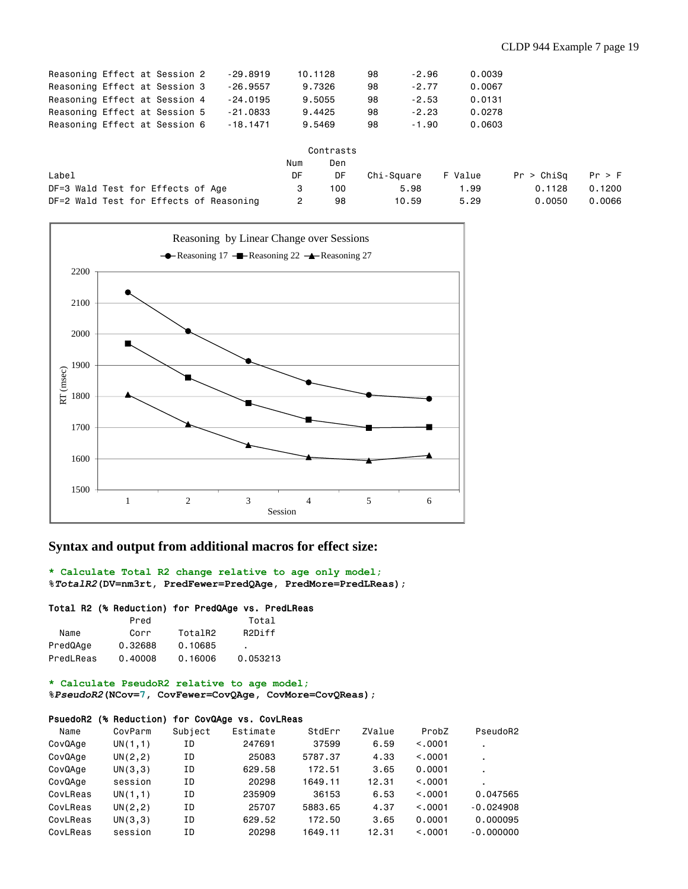| Reasoning Effect at Session 2 |  |  | $-29.8919$ | 10.1128 | 98 | $-2.96$ | 0.0039 |
|-------------------------------|--|--|------------|---------|----|---------|--------|
| Reasoning Effect at Session 3 |  |  | $-26.9557$ | 9.7326  | 98 | $-2.77$ | 0.0067 |
| Reasoning Effect at Session 4 |  |  | $-24.0195$ | 9,5055  | 98 | $-2.53$ | 0.0131 |
| Reasoning Effect at Session 5 |  |  | $-21.0833$ | 9.4425  | 98 | $-2.23$ | 0.0278 |
| Reasoning Effect at Session 6 |  |  | $-18.1471$ | 9,5469  | 98 | $-1.90$ | 0.0603 |
|                               |  |  |            |         |    |         |        |

|                                         | Num | Den |            |         |            |        |
|-----------------------------------------|-----|-----|------------|---------|------------|--------|
| Label                                   | DF  | DF  | Chi-Sauare | F Value | Pr > Chisq | Pr > F |
| DF=3 Wald Test for Effects of Age       |     | 100 | 5.98       | 1.99    | 0.1128     | 0.1200 |
| DF=2 Wald Test for Effects of Reasoning |     | 98  | 10.59      | 5.29    | 0.0050     | 0.0066 |



# **Syntax and output from additional macros for effect size:**

**\* Calculate Total R2 change relative to age only model; %***TotalR2***(DV=nm3rt, PredFewer=PredQAge, PredMore=PredLReas);**

### Total R2 (% Reduction) for PredQAge vs. PredLReas

|           | Pred    |                     | Total               |
|-----------|---------|---------------------|---------------------|
| Name      | Corr    | TotalR <sub>2</sub> | R <sub>2</sub> Diff |
| PredQAge  | 0.32688 | 0.10685             |                     |
| PredLReas | 0.40008 | 0.16006             | 0.053213            |

**\* Calculate PseudoR2 relative to age model;**

**%***PseudoR2***(NCov=7, CovFewer=CovQAge, CovMore=CovQReas);**

### PsuedoR2 (% Reduction) for CovQAge vs. CovLReas

| Name     | CovParm  | Subject | Estimate | StdErr  | ZValue | ProbZ   | PseudoR2       |
|----------|----------|---------|----------|---------|--------|---------|----------------|
| CovQAge  | UN(1,1)  | ΙD      | 247691   | 37599   | 6.59   | < 0.001 | ٠              |
| CovQAge  | UN(2, 2) | ΙD      | 25083    | 5787.37 | 4.33   | < 0.001 | $\blacksquare$ |
| CovQAge  | UN(3,3)  | ΙD      | 629.58   | 172.51  | 3.65   | 0.0001  | ٠              |
| CovQAge  | session  | ΙD      | 20298    | 1649.11 | 12.31  | < 0.001 |                |
| CovLReas | UN(1,1)  | ΙD      | 235909   | 36153   | 6.53   | < 0.001 | 0.047565       |
| CovLReas | UN(2, 2) | ΙD      | 25707    | 5883.65 | 4.37   | < 0.001 | $-0.024908$    |
| CovLReas | UN(3,3)  | ΙD      | 629.52   | 172.50  | 3.65   | 0.0001  | 0.000095       |
| CovLReas | session  | ΙD      | 20298    | 1649.11 | 12.31  | < 0.001 | $-0.000000$    |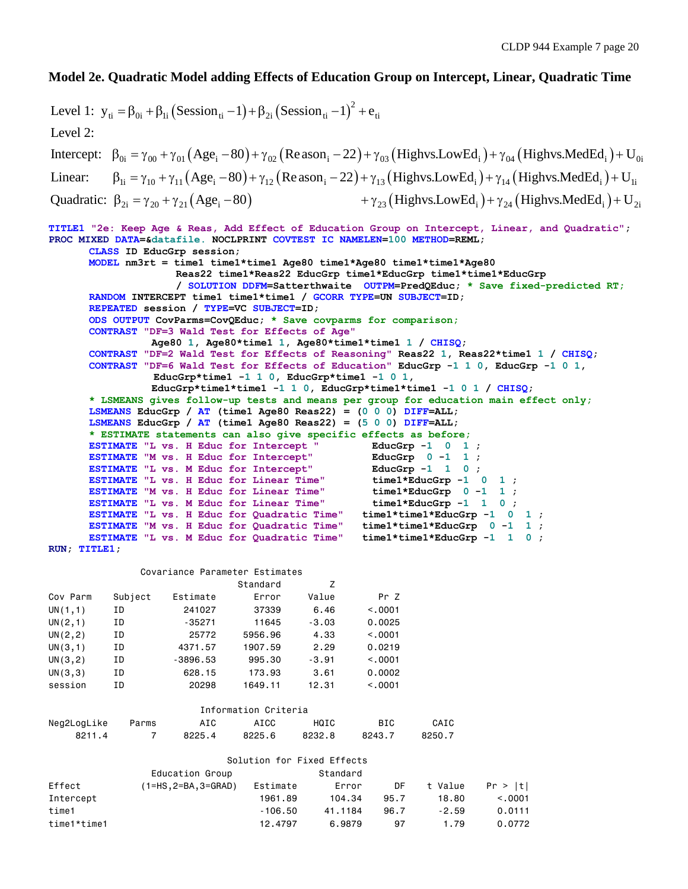# **Model 2e. Quadratic Model adding Effects of Education Group on Intercept, Linear, Quadratic Time**

```
(Session_{ti}-1) + \beta_{2i} (Session_{ti}-1)^2Intercept: \beta_{0i} = \gamma_{00} + \gamma_{01} (Age_i - 80) + \gamma_{02} (Reason_i - 22) + \gamma_{03} (Highvs. LowEd_i) + \gamma_{04} (Highvs. MedEd_i) + U_{0i}Linear: \beta_{1i} = \gamma_{10} + \gamma_{11} (Age_i - 80) + \gamma_{12} (Reason_i - 22) + \gamma_{13} (Highvs.LowEd_i) + \gamma_{14} (Highvs.MedEd_i) + U_{1i}Level 1: y_{ti} = \beta_{0i} + \beta_{1i} (Session<sub>ti</sub> -1) + \beta_{2i} (Session<sub>ti</sub> -1)<sup>2</sup> + e_{ti}Level 2: 
Quadratic: \beta_{2i} = \gamma_{20} + \gamma_{21} (Age_i - 80) + \gamma_{23} (Highvs. LowEd_i) + \gamma_{24} (Highvs. MedEd_i) + U_{2i}TITLE1 "2e: Keep Age & Reas, Add Effect of Education Group on Intercept, Linear, and Quadratic";
PROC MIXED DATA=&datafile. NOCLPRINT COVTEST IC NAMELEN=100 METHOD=REML;
       CLASS ID EducGrp session;
       MODEL nm3rt = time1 time1*time1 Age80 time1*Age80 time1*time1*Age80
                      Reas22 time1*Reas22 EducGrp time1*EducGrp time1*time1*EducGrp 
                      / SOLUTION DDFM=Satterthwaite OUTPM=PredQEduc; * Save fixed-predicted RT;
       RANDOM INTERCEPT time1 time1*time1 / GCORR TYPE=UN SUBJECT=ID; 
       REPEATED session / TYPE=VC SUBJECT=ID;
       ODS OUTPUT CovParms=CovQEduc; * Save covparms for comparison;
       CONTRAST "DF=3 Wald Test for Effects of Age"
                   Age80 1, Age80*time1 1, Age80*time1*time1 1 / CHISQ;
       CONTRAST "DF=2 Wald Test for Effects of Reasoning" Reas22 1, Reas22*time1 1 / CHISQ;
       CONTRAST "DF=6 Wald Test for Effects of Education" EducGrp -1 1 0, EducGrp -1 0 1,
                   EducGrp*time1 -1 1 0, EducGrp*time1 -1 0 1, 
                   EducGrp*time1*time1 -1 1 0, EducGrp*time1*time1 -1 0 1 / CHISQ;
       * LSMEANS gives follow-up tests and means per group for education main effect only;
       LSMEANS EducGrp / AT (time1 Age80 Reas22) = (0 0 0) DIFF=ALL; 
       LSMEANS EducGrp / AT (time1 Age80 Reas22) = (5 0 0) DIFF=ALL; 
       * ESTIMATE statements can also give specific effects as before;
      ESTIMATE "L vs. H Educ for Intercept " EducGrp -1 0 1 ;
      ESTIMATE "M vs. H Educ for Intercept" BducGrp 0 -1 1;<br>
ESTIMATE "L vs. M Educ for Intercept" EducGrp -1 1 0;
       ESTIMATE "L vs. M Educ for Intercept"
       ESTIMATE "L vs. H Educ for Linear Time" time1*EducGrp -1 0 1 ;
       ESTIMATE "M vs. H Educ for Linear Time" time1*EducGrp 0 -1 1 ;<br>
ESTIMATE "L vs. M Educ for Linear Time" time1*EducGrp -1 1 0 ;
      ESTIMATE "L vs. M Educ for Linear Time" time1*EducGrp -1 1 0 ;<br>ESTIMATE "L vs. H Educ for Quadratic Time" time1*time1*EducGrp -1 0 1 ;
      ESTIMATE "L vs. H Educ for Quadratic Time"
      ESTIMATE "M vs. H Educ for Quadratic Time" time1*time1*EducGrp 0 -1 1 ;
      ESTIMATE "L vs. M Educ for Quadratic Time" time1*time1*EducGrp -1 1 0 ;
RUN; TITLE1;
                 Covariance Parameter Estimates
                                 Standard Z
Cov Parm Subject Estimate Error Value Pr Z
UN(1,1) ID 241027 37339 6.46 <.0001
UN(2,1) ID -35271 11645 -3.03 0.0025
UN(2,2) ID 25772 5956.96 4.33 <.0001
UN(3,1) ID 4371.57 1907.59 2.29 0.0219
UN(3,2) ID -3896.53 995.30 -3.91 <.0001
UN(3,3) ID 628.15 173.93 3.61 0.0002
session ID 20298 1649.11 12.31 <.0001
                           Information Criteria
Neg2LogLike Parms AIC AICC HQIC BIC CAIC
 8211.4 7 8225.4 8225.6 8232.8 8243.7 8250.7
                                Solution for Fixed Effects 
                  Education Group Standard
Effect (1=HS,2=BA,3=GRAD) Estimate Error DF t Value Pr > |t|
```
Intercept 1961.89 104.34 95.7 18.80 <.0001 time1 -106.50 41.1184 96.7 -2.59 0.0111 time1\*time1 12.4797 6.9879 97 1.79 0.0772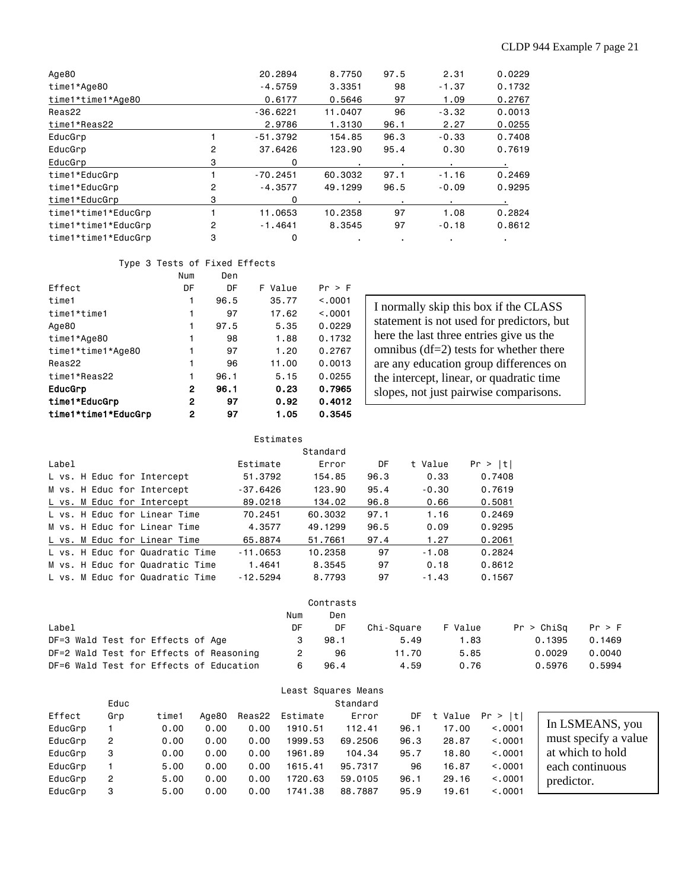| Age80               |                | 20,2894    | 8,7750         | 97.5 | 2.31    | 0.0229 |
|---------------------|----------------|------------|----------------|------|---------|--------|
| time1*Age80         |                | $-4.5759$  | 3,3351         | 98   | $-1.37$ | 0.1732 |
| time1*time1*Age80   |                | 0.6177     | 0.5646         | 97   | 1.09    | 0.2767 |
| Reas22              |                | $-36.6221$ | 11,0407        | 96   | $-3.32$ | 0.0013 |
| time1*Reas22        |                | 2.9786     | 1.3130         | 96.1 | 2.27    | 0.0255 |
| EducGrp             |                | $-51.3792$ | 154.85         | 96.3 | $-0.33$ | 0.7408 |
| EducGrp             | $\overline{2}$ | 37.6426    | 123,90         | 95.4 | 0.30    | 0.7619 |
| EducGrp             | 3              | 0          | $\blacksquare$ |      |         |        |
| time1*EducGrp       |                | $-70.2451$ | 60.3032        | 97.1 | $-1.16$ | 0.2469 |
| time1*EducGrp       | 2              | $-4.3577$  | 49,1299        | 96.5 | $-0.09$ | 0.9295 |
| time1*EducGrp       | 3              | 0          |                |      |         |        |
| time1*time1*EducGrp |                | 11,0653    | 10.2358        | 97   | 1.08    | 0.2824 |
| time1*time1*EducGrp | 2              | $-1.4641$  | 8,3545         | 97   | $-0.18$ | 0.8612 |
| time1*time1*EducGrp | 3              | 0          | ٠              |      |         |        |

### Type 3 Tests of Fixed Effects

|                     | Num | Den  |         |         |
|---------------------|-----|------|---------|---------|
| Effect              | DF  | DF   | F Value | Pr > F  |
| time1               | 1   | 96.5 | 35.77   | < 0.001 |
| time1*time1         |     | 97   | 17.62   | < 0.001 |
| Age80               | 1   | 97.5 | 5.35    | 0.0229  |
| time1*Age80         | 1   | 98   | 1.88    | 0.1732  |
| time1*time1*Age80   |     | 97   | 1.20    | 0.2767  |
| Reas22              |     | 96   | 11.00   | 0.0013  |
| time1*Reas22        | 1   | 96.1 | 5.15    | 0.0255  |
| EducGrp             | 2   | 96.1 | 0.23    | 0.7965  |
| time1*EducGrp       | 2   | 97   | 0.92    | 0.4012  |
| time1*time1*EducGrp | 2   | 97   | 1.05    | 0.3545  |

I normally skip this box if the CLASS statement is not used for predictors, but here the last three entries give us the omnibus (df=2) tests for whether there are any education group differences on the intercept, linear, or quadratic time slopes, not just pairwise comparisons.

|       |  |                                 | Estimates  |          |      |         |         |
|-------|--|---------------------------------|------------|----------|------|---------|---------|
|       |  |                                 |            | Standard |      |         |         |
| Label |  |                                 | Estimate   | Error    | DF   | t Value | Pr >  t |
|       |  | L vs. H Educ for Intercept      | 51,3792    | 154.85   | 96.3 | 0.33    | 0.7408  |
|       |  | M vs. H Educ for Intercept      | -37.6426   | 123.90   | 95.4 | $-0.30$ | 0.7619  |
|       |  | L vs. M Educ for Intercept      | 89,0218    | 134.02   | 96.8 | 0.66    | 0.5081  |
|       |  | L vs. H Educ for Linear Time    | 70.2451    | 60.3032  | 97.1 | 1.16    | 0.2469  |
|       |  | M vs. H Educ for Linear Time    | 4.3577     | 49.1299  | 96.5 | 0.09    | 0.9295  |
|       |  | L vs. M Educ for Linear Time    | 65,8874    | 51,7661  | 97.4 | 1.27    | 0.2061  |
|       |  | L vs. H Educ for Quadratic Time | $-11.0653$ | 10.2358  | 97   | $-1.08$ | 0.2824  |
|       |  | M vs. H Educ for Quadratic Time | 1.4641     | 8.3545   | 97   | 0.18    | 0.8612  |
|       |  | L vs. M Educ for Quadratic Time | $-12.5294$ | 8.7793   | 97   | $-1.43$ | 0.1567  |

| Contrasts                               |     |      |            |         |            |        |  |  |  |  |
|-----------------------------------------|-----|------|------------|---------|------------|--------|--|--|--|--|
|                                         | Num | Den  |            |         |            |        |  |  |  |  |
| Label                                   | DF  | DF   | Chi-Square | F Value | Pr > Chisq | Pr > F |  |  |  |  |
| DF=3 Wald Test for Effects of Age       |     | 98.1 | 5.49       | 1.83    | 0.1395     | 0.1469 |  |  |  |  |
| DF=2 Wald Test for Effects of Reasoning |     | 96   | 11.70      | 5.85    | 0.0029     | 0.0040 |  |  |  |  |
| DF=6 Wald Test for Effects of Education | 6   | 96.4 | 4.59       | 0.76    | 0.5976     | 0.5994 |  |  |  |  |

| Least Squares Means |     |       |       |        |          |         |      |         |            |                      |
|---------------------|-----|-------|-------|--------|----------|---------|------|---------|------------|----------------------|
| Standard<br>Educ    |     |       |       |        |          |         |      |         |            |                      |
| Effect              | Grp | time1 | Age80 | Reas22 | Estimate | Error   | DF   | t Value | Pr ><br> t |                      |
| EducGrp             |     | 0.00  | 0.00  | 0.00   | 1910.51  | 112.41  | 96.1 | 17.00   | < 0.0001   | In LSMEANS, you      |
| EducGrp             | 2   | 0.00  | 0.00  | 0.00   | 1999.53  | 69,2506 | 96.3 | 28.87   | < 0.0001   | must specify a value |
| EducGrp             | 3   | 0.00  | 0.00  | 0.00   | 1961.89  | 104.34  | 95.7 | 18,80   | < 0.0001   | at which to hold     |
| EducGrp             |     | 5,00  | 0.00  | 0.00   | 1615.41  | 95,7317 | 96   | 16.87   | < 0.0001   | each continuous      |
| EducGrp             | 2   | 5,00  | 0.00  | 0.00   | 1720.63  | 59,0105 | 96.1 | 29,16   | < 0.0001   | predictor.           |
| EducGrp             | 3   | 5,00  | 0.00  | 0.00   | 1741.38  | 88,7887 | 95.9 | 19.61   | < 0.0001   |                      |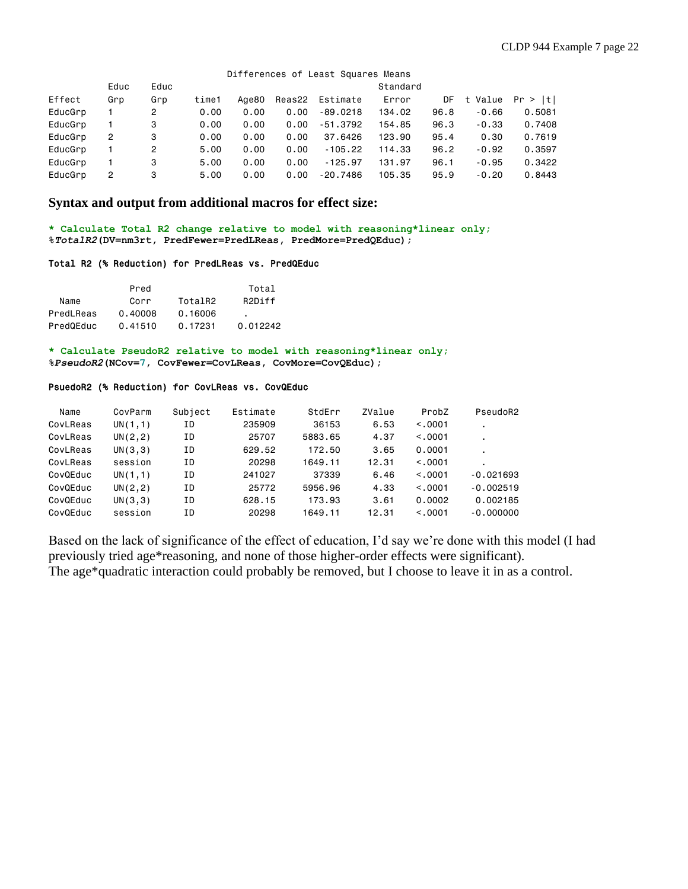### Differences of Least Squares Means

|         | Educ | Educ           |       |       |      |                 | Standard |      |            |         |
|---------|------|----------------|-------|-------|------|-----------------|----------|------|------------|---------|
| Effect  | Grp  | Grp            | time1 | Aae80 |      | Reas22 Estimate | Error    | DF   | Value<br>t | Pr >  t |
| EducGrp |      | $\overline{2}$ | 0.00  | 0.00  | 0.00 | $-89.0218$      | 134.02   | 96.8 | $-0.66$    | 0.5081  |
| EducGrp |      | 3              | 0.00  | 0.00  | 0.00 | $-51.3792$      | 154.85   | 96.3 | $-0.33$    | 0.7408  |
| EducGrp | 2    | 3              | 0.00  | 0.00  | 0.00 | 37.6426         | 123,90   | 95.4 | 0.30       | 0.7619  |
| EducGrp |      | 2              | 5,00  | 0.00  | 0.00 | $-105.22$       | 114.33   | 96.2 | $-0.92$    | 0.3597  |
| EducGrp |      | 3              | 5,00  | 0.00  | 0.00 | $-125.97$       | 131.97   | 96.1 | $-0.95$    | 0.3422  |
| EducGrp | 2    | 3              | 5.00  | 0.00  | 0.00 | $-20.7486$      | 105.35   | 95.9 | $-0.20$    | 0.8443  |

# **Syntax and output from additional macros for effect size:**

**\* Calculate Total R2 change relative to model with reasoning\*linear only; %***TotalR2***(DV=nm3rt, PredFewer=PredLReas, PredMore=PredQEduc);**

#### Total R2 (% Reduction) for PredLReas vs. PredQEduc

|           | Pred    |         | Total               |
|-----------|---------|---------|---------------------|
| Name      | Corr    | TotalR2 | R <sub>2</sub> Diff |
| PredLReas | 0.40008 | 0.16006 |                     |
| PredQEduc | 0.41510 | 0.17231 | 0.012242            |

**\* Calculate PseudoR2 relative to model with reasoning\*linear only; %***PseudoR2***(NCov=7, CovFewer=CovLReas, CovMore=CovQEduc);**

### PsuedoR2 (% Reduction) for CovLReas vs. CovQEduc

| Name     | CovParm  | Subject | Estimate | StdErr  | ZValue | ProbZ   | PseudoR2    |
|----------|----------|---------|----------|---------|--------|---------|-------------|
| CovLReas | UN(1,1)  | ΙD      | 235909   | 36153   | 6.53   | < 0.001 |             |
| CovLReas | UN(2, 2) | ΙD      | 25707    | 5883.65 | 4.37   | < 0.001 | ٠           |
| CovLReas | UN(3,3)  | ΙD      | 629.52   | 172.50  | 3.65   | 0.0001  | ٠           |
| CovLReas | session  | ΙD      | 20298    | 1649.11 | 12.31  | < 0.001 |             |
| CovQEduc | UN(1,1)  | ΙD      | 241027   | 37339   | 6.46   | < 0.001 | $-0.021693$ |
| CovQEduc | UN(2, 2) | ΙD      | 25772    | 5956.96 | 4.33   | < 0.001 | $-0.002519$ |
| CovQEduc | UN(3,3)  | ΙD      | 628.15   | 173.93  | 3.61   | 0.0002  | 0.002185    |
| CovQEduc | session  | ΙD      | 20298    | 1649.11 | 12.31  | < 0.001 | $-0.000000$ |

Based on the lack of significance of the effect of education, I'd say we're done with this model (I had previously tried age\*reasoning, and none of those higher-order effects were significant). The age\*quadratic interaction could probably be removed, but I choose to leave it in as a control.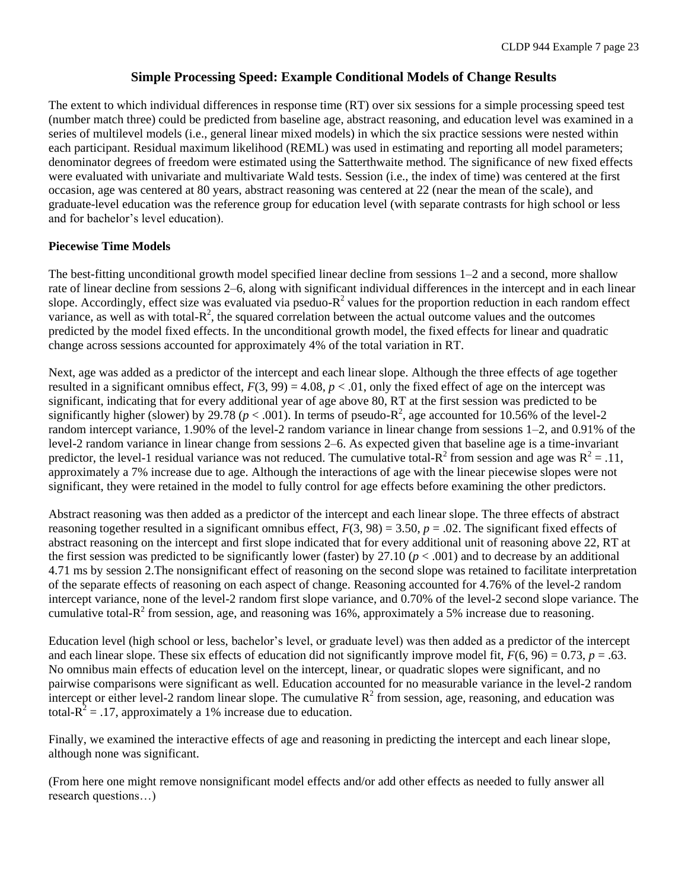# **Simple Processing Speed: Example Conditional Models of Change Results**

The extent to which individual differences in response time (RT) over six sessions for a simple processing speed test (number match three) could be predicted from baseline age, abstract reasoning, and education level was examined in a series of multilevel models (i.e., general linear mixed models) in which the six practice sessions were nested within each participant. Residual maximum likelihood (REML) was used in estimating and reporting all model parameters; denominator degrees of freedom were estimated using the Satterthwaite method. The significance of new fixed effects were evaluated with univariate and multivariate Wald tests. Session (i.e., the index of time) was centered at the first occasion, age was centered at 80 years, abstract reasoning was centered at 22 (near the mean of the scale), and graduate-level education was the reference group for education level (with separate contrasts for high school or less and for bachelor's level education).

# **Piecewise Time Models**

The best-fitting unconditional growth model specified linear decline from sessions 1–2 and a second, more shallow rate of linear decline from sessions 2–6, along with significant individual differences in the intercept and in each linear slope. Accordingly, effect size was evaluated via pseduo- $R^2$  values for the proportion reduction in each random effect variance, as well as with total- $R^2$ , the squared correlation between the actual outcome values and the outcomes predicted by the model fixed effects. In the unconditional growth model, the fixed effects for linear and quadratic change across sessions accounted for approximately 4% of the total variation in RT.

Next, age was added as a predictor of the intercept and each linear slope. Although the three effects of age together resulted in a significant omnibus effect,  $F(3, 99) = 4.08$ ,  $p < .01$ , only the fixed effect of age on the intercept was significant, indicating that for every additional year of age above 80, RT at the first session was predicted to be significantly higher (slower) by 29.78 ( $p < .001$ ). In terms of pseudo-R<sup>2</sup>, age accounted for 10.56% of the level-2 random intercept variance, 1.90% of the level-2 random variance in linear change from sessions 1–2, and 0.91% of the level-2 random variance in linear change from sessions 2–6. As expected given that baseline age is a time-invariant predictor, the level-1 residual variance was not reduced. The cumulative total- $R^2$  from session and age was  $R^2 = .11$ , approximately a 7% increase due to age. Although the interactions of age with the linear piecewise slopes were not significant, they were retained in the model to fully control for age effects before examining the other predictors.

Abstract reasoning was then added as a predictor of the intercept and each linear slope. The three effects of abstract reasoning together resulted in a significant omnibus effect,  $F(3, 98) = 3.50$ ,  $p = .02$ . The significant fixed effects of abstract reasoning on the intercept and first slope indicated that for every additional unit of reasoning above 22, RT at the first session was predicted to be significantly lower (faster) by 27.10 ( $p < .001$ ) and to decrease by an additional 4.71 ms by session 2.The nonsignificant effect of reasoning on the second slope was retained to facilitate interpretation of the separate effects of reasoning on each aspect of change. Reasoning accounted for 4.76% of the level-2 random intercept variance, none of the level-2 random first slope variance, and 0.70% of the level-2 second slope variance. The cumulative total- $R^2$  from session, age, and reasoning was 16%, approximately a 5% increase due to reasoning.

Education level (high school or less, bachelor's level, or graduate level) was then added as a predictor of the intercept and each linear slope. These six effects of education did not significantly improve model fit,  $F(6, 96) = 0.73$ ,  $p = .63$ . No omnibus main effects of education level on the intercept, linear, or quadratic slopes were significant, and no pairwise comparisons were significant as well. Education accounted for no measurable variance in the level-2 random intercept or either level-2 random linear slope. The cumulative  $R^2$  from session, age, reasoning, and education was total- $R^2$  = .17, approximately a 1% increase due to education.

Finally, we examined the interactive effects of age and reasoning in predicting the intercept and each linear slope, although none was significant.

(From here one might remove nonsignificant model effects and/or add other effects as needed to fully answer all research questions…)